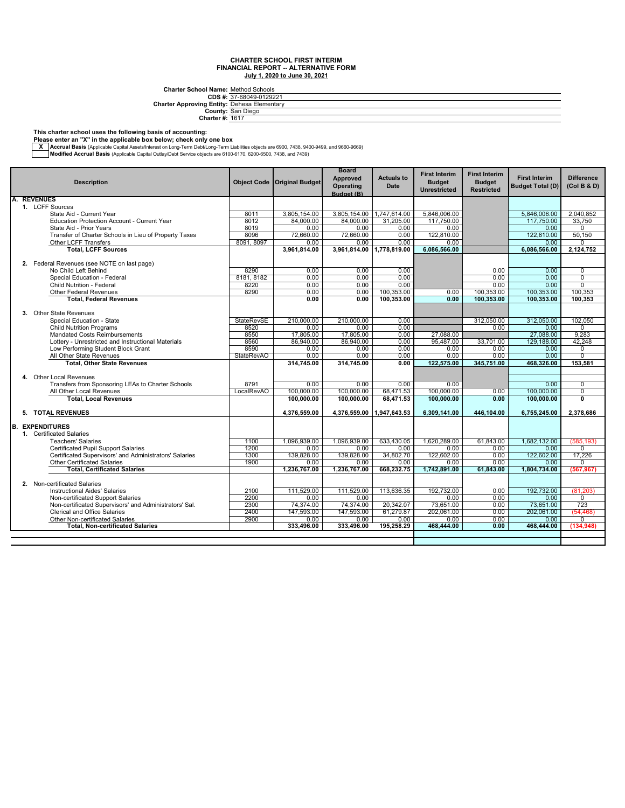**CDS #: Charter Approving Entity: Charter School Name:** Method Schools<br>
27-68049-0129221<br> **Prices Elementary**<br> **County:** San Diego<br>
Charter #: <u>1617</u>

#### **This charter school uses the following basis of accounting:**

**A. REVENUES**

**Please enter an "X" in the applicable box below; check only one box**

— Accrual Basis (Applicable Capital Assets/Interest on Long-Term Debt/Long-Term Liabilities objects are 6900, 7438, 9400-9499, and 9660-9669, Architect State Internal Basis (Applicable Capital Outlay/Debt Service object

| ________                 |      |                                       |                                                     |                           |                                                              |
|--------------------------|------|---------------------------------------|-----------------------------------------------------|---------------------------|--------------------------------------------------------------|
| <b>Description</b>       |      | <b>Object Code   Original Budget </b> | <b>Board</b><br>Approved<br>Operating<br>Budget (B) | <b>Actuals to</b><br>Date | <b>First Interim</b><br><b>Budget</b><br><b>Unrestricted</b> |
| <b>REVENUES</b>          |      |                                       |                                                     |                           |                                                              |
| 1. LCFF Sources          |      |                                       |                                                     |                           |                                                              |
| State Aid - Current Year | 8011 | 3.805.154.00                          | 3.805.154.00                                        | 1,747,614.00              | 5.846.006.00                                                 |
|                          |      |                                       |                                                     |                           |                                                              |

| 1. LCFF Sources                                        |                   |              |                           |            |              |            |              |                |
|--------------------------------------------------------|-------------------|--------------|---------------------------|------------|--------------|------------|--------------|----------------|
| State Aid - Current Year                               | 8011              | 3.805.154.00 | 3,805,154.00 1,747,614.00 |            | 5.846.006.00 |            | 5.846.006.00 | 2.040.852      |
| <b>Education Protection Account - Current Year</b>     | 8012              | 84.000.00    | 84.000.00                 | 31.205.00  | 117,750.00   |            | 117.750.00   | 33.750         |
| State Aid - Prior Years                                | 8019              | 0.00         | 0.00                      | 0.00       | 0.00         |            | 0.00         | $\Omega$       |
| Transfer of Charter Schools in Lieu of Property Taxes  | 8096              | 72,660.00    | 72.660.00                 | 0.00       | 122,810.00   |            | 122.810.00   | 50.150         |
| Other LCFF Transfers                                   | 8091, 8097        | 0.00         | 0.00                      | 0.00       | 0.00         |            | 0.00         | $\Omega$       |
| <b>Total, LCFF Sources</b>                             |                   | 3,961,814.00 | 3,961,814.00 1,778,819.00 |            | 6,086,566.00 |            | 6,086,566.00 | 2,124,752      |
|                                                        |                   |              |                           |            |              |            |              |                |
| 2. Federal Revenues (see NOTE on last page)            |                   |              |                           |            |              |            |              |                |
| No Child Left Behind                                   | 8290              | 0.00         | 0.00                      | 0.00       |              | 0.00       | 0.00         | 0              |
| Special Education - Federal                            | 8181, 8182        | 0.00         | 0.00                      | 0.00       |              | 0.00       | 0.00         | $\overline{0}$ |
| Child Nutrition - Federal                              | 8220              | 0.00         | 0.00                      | 0.00       |              | 0.00       | 0.00         | $\overline{0}$ |
| <b>Other Federal Revenues</b>                          | 8290              | 0.00         | 0.00                      | 100,353.00 | 0.00         | 100,353.00 | 100,353.00   | 100,353        |
| <b>Total, Federal Revenues</b>                         |                   | 0.00         | 0.00                      | 100,353.00 | 0.00         | 100,353.00 | 100,353.00   | 100,353        |
|                                                        |                   |              |                           |            |              |            |              |                |
| 3. Other State Revenues                                |                   |              |                           |            |              |            |              |                |
| Special Education - State                              | <b>StateRevSE</b> | 210.000.00   | 210.000.00                | 0.00       |              | 312,050.00 | 312.050.00   | 102,050        |
| <b>Child Nutrition Programs</b>                        | 8520              | 0.00         | 0.00                      | 0.00       |              | 0.00       | 0.00         | 0              |
| Mandated Costs Reimbursements                          | 8550              | 17,805.00    | 17,805.00                 | 0.00       | 27.088.00    |            | 27,088.00    | 9,283          |
| Lottery - Unrestricted and Instructional Materials     | 8560              | 86,940.00    | 86,940.00                 | 0.00       | 95,487.00    | 33,701.00  | 129,188.00   | 42,248         |
| Low Performing Student Block Grant                     | 8590              | 0.00         | 0.00                      | 0.00       | 0.00         | 0.00       | 0.00         | 0              |
| All Other State Revenues                               | <b>StateRevAO</b> | 0.00         | 0.00                      | 0.00       | 0.00         | 0.00       | 0.00         | $\overline{0}$ |
| <b>Total, Other State Revenues</b>                     |                   | 314,745.00   | 314.745.00                | 0.00       | 122.575.00   | 345,751.00 | 468,326.00   | 153,581        |
|                                                        |                   |              |                           |            |              |            |              |                |
| 4. Other Local Revenues                                |                   |              |                           |            |              |            |              |                |
| Transfers from Sponsoring LEAs to Charter Schools      | 8791              | 0.00         | 0.00                      | 0.00       | 0.00         |            | 0.00         | 0              |
| All Other Local Revenues                               | LocalRevAO        | 100,000.00   | 100,000.00                | 68,471.53  | 100,000.00   | 0.00       | 100,000.00   | $\overline{0}$ |
| <b>Total, Local Revenues</b>                           |                   | 100.000.00   | 100.000.00                | 68.471.53  | 100,000.00   | 0.00       | 100.000.00   | Ō              |
|                                                        |                   |              |                           |            |              |            |              |                |
| 5. TOTAL REVENUES                                      |                   | 4,376,559.00 | 4,376,559.00 1,947,643.53 |            | 6.309.141.00 | 446.104.00 | 6,755,245.00 | 2,378,686      |
|                                                        |                   |              |                           |            |              |            |              |                |
| <b>B. EXPENDITURES</b>                                 |                   |              |                           |            |              |            |              |                |
| 1. Certificated Salaries                               |                   |              |                           |            |              |            |              |                |
| <b>Teachers' Salaries</b>                              | 1100              | 1.096.939.00 | 1.096.939.00              | 633.430.05 | 1.620.289.00 | 61.843.00  | 1.682.132.00 | (585, 193)     |
| Certificated Pupil Support Salaries                    | 1200              | 0.00         | 0.00                      | 0.00       | 0.00         | 0.00       | 0.00         | $\Omega$       |
| Certificated Supervisors' and Administrators' Salaries | 1300              | 139,828.00   | 139,828.00                | 34,802.70  | 122.602.00   | 0.00       | 122,602.00   | 17,226         |
| <b>Other Certificated Salaries</b>                     | 1900              | 0.00         | 0.00                      | 0.00       | 0.00         | 0.00       | 0.00         | $\Omega$       |
| <b>Total, Certificated Salaries</b>                    |                   | 1,236,767.00 | 1,236,767.00              | 668,232.75 | 1,742,891.00 | 61,843.00  | 1,804,734.00 | (567.967)      |
|                                                        |                   |              |                           |            |              |            |              |                |
|                                                        |                   |              |                           |            |              |            |              |                |
| 2. Non-certificated Salaries                           |                   |              |                           |            |              |            |              |                |
| <b>Instructional Aides' Salaries</b>                   | 2100              | 111,529.00   | 111,529.00                | 113,636.35 | 192,732.00   | 0.00       | 192,732.00   | (81, 203)      |
| Non-certificated Support Salaries                      | 2200              | 0.00         | 0.00                      |            | 0.00         | 0.00       | 0.00         | $\Omega$       |
| Non-certificated Supervisors' and Administrators' Sal. | 2300              | 74,374.00    | 74,374.00                 | 20,342.07  | 73,651.00    | 0.00       | 73,651.00    | 723            |
| <b>Clerical and Office Salaries</b>                    | 2400              | 147,593.00   | 147,593.00                | 61,279.87  | 202,061.00   | 0.00       | 202,061.00   | (54, 468)      |
| Other Non-certificated Salaries                        | 2900              | 0.00         | 0.00                      | 0.00       | 0.00         | 0.00       | 0.00         | $\Omega$       |
| <b>Total, Non-certificated Salaries</b>                |                   | 333,496.00   | 333,496.00                | 195.258.29 | 468,444.00   | 0.00       | 468,444.00   | (134, 948)     |
|                                                        |                   |              |                           |            |              |            |              |                |

**First Interim Budget Restricted**

**First Interim Budget Total (D)**

**Difference (Col B & D)**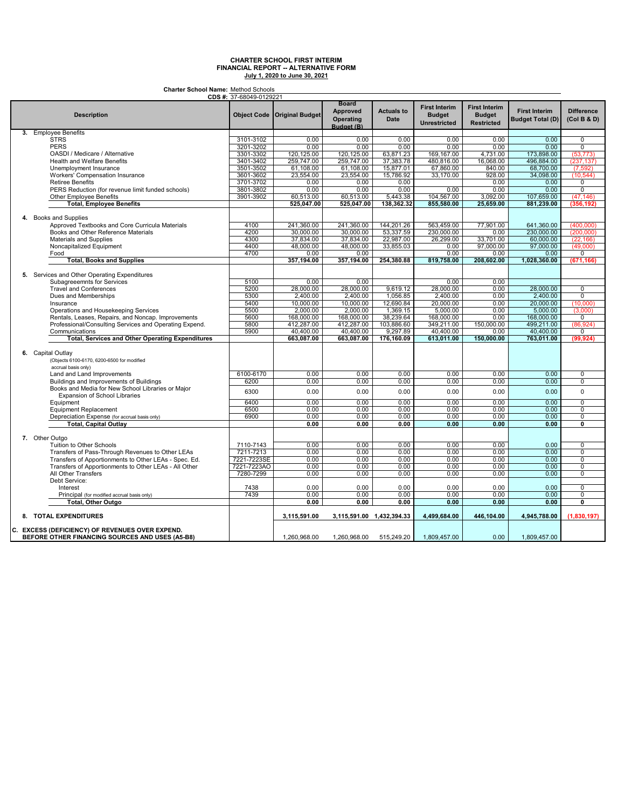**Charter School Name:** Method Schools

| <b>Board</b><br><b>First Interim</b><br><b>First Interim</b><br><b>Approved</b><br><b>Actuals to</b><br><b>First Interim</b><br><b>Difference</b><br><b>Description</b><br>Object Code   Original Budget<br><b>Budget</b><br><b>Budget</b><br><b>Date</b><br><b>Budget Total (D)</b><br>(Col B & D)<br><b>Operating</b><br><b>Unrestricted</b><br><b>Restricted</b><br>Budget (B)<br>3. Employee Benefits<br><b>STRS</b><br>0.00<br>0.00<br>0.00<br>3101-3102<br>0.00<br>0.00<br>0.00<br>$\overline{0}$<br><b>PERS</b><br>0.00<br>0.00<br>$\overline{0}$<br>3201-3202<br>0.00<br>0.00<br>0.00<br>0.00<br>3301-3302<br>OASDI / Medicare / Alternative<br>120,125.00<br>120,125.00<br>63,871.23<br>169,167.00<br>4,731.00<br>173,898.00<br>(53, 773)<br>37,383.78<br><b>Health and Welfare Benefits</b><br>3401-3402<br>259,747.00<br>259,747.00<br>480,816.00<br>16,068.00<br>496,884.00<br>(237, 137)<br>3501-3502<br>61,108.00<br>15,877.01<br>67,860.00<br>840.00<br>68,700.00<br>Unemployment Insurance<br>61,108.00<br>(7, 592)<br>3601-3602<br>23,554.00<br>23,554.00<br>33,170.00<br>928.00<br>(10, 544)<br><b>Workers' Compensation Insurance</b><br>15,786.92<br>34,098.00<br>3701-3702<br>0.00<br>0.00<br>0.00<br><b>Retiree Benefits</b><br>0.00<br>0.00<br>0<br>3801-3802<br>0.00<br>0.00<br>0.00<br>$\overline{0}$<br>PERS Reduction (for revenue limit funded schools)<br>0.00<br>0.00<br>0.00<br>5,443.38<br>104,567.00<br>3901-3902<br>60,513.00<br>60,513.00<br>3,092.00<br>107,659.00<br>(47, 146)<br>Other Employee Benefits<br>138,362.32<br>855,580.00<br>25,659.00<br><b>Total, Employee Benefits</b><br>525,047.00<br>525.047.00<br>881,239.00<br>(356, 192)<br>4. Books and Supplies<br>241,360.00<br>241,360.00<br>144,201.26<br>563,459.00<br>77,901.00<br>(400,000)<br>Approved Textbooks and Core Curricula Materials<br>4100<br>641,360.00<br>4200<br>53,337.59<br>230.000.00<br>Books and Other Reference Materials<br>30.000.00<br>30.000.00<br>0.00<br>230,000.00<br>(200, 000)<br>4300<br>22,987.00<br>26,299.00<br>37,834.00<br>37,834.00<br>33,701.00<br>60,000.00<br><b>Materials and Supplies</b><br>(22, 166)<br>Noncapitalized Equipment<br>4400<br>48,000.00<br>48,000.00<br>33,855.03<br>0.00<br>97,000.00<br>97,000.00<br>(49,000)<br>Food<br>4700<br>0.00<br>0.00<br>0.00<br>0.00<br>0.00<br>0<br><b>Total, Books and Supplies</b><br>357,194.00<br>254,380.88<br>819,758.00<br>208,602.00<br>1,028,360.00<br>357,194.00<br>(671, 166)<br>5. Services and Other Operating Expenditures<br>5100<br>0.00<br>0.00<br>0.00<br>Subagreeemnts for Services<br>0.00<br><b>Travel and Conferences</b><br>5200<br>28,000.00<br>28,000.00<br>9,619.12<br>28,000.00<br>0.00<br>28,000.00<br>0<br>$\overline{0}$<br>Dues and Memberships<br>5300<br>2.400.00<br>2.400.00<br>1.056.85<br>2.400.00<br>0.00<br>2.400.00<br>5400<br>10,000.00<br>10,000.00<br>12,690.84<br>20,000.00<br>0.00<br>20,000.00<br>(10,000)<br>Insurance<br>Operations and Housekeeping Services<br>5500<br>2,000.00<br>2,000.00<br>1,369.15<br>5,000.00<br>0.00<br>5,000.00<br>(3,000)<br>Rentals, Leases, Repairs, and Noncap. Improvements<br>5600<br>168,000.00<br>168,000.00<br>38,239.64<br>168,000.00<br>0.00<br>168,000.00<br>$\overline{0}$<br>5800<br>412.287.00<br>103,886.60<br>349.211.00<br>150,000.00<br>(86, 924)<br>Professional/Consulting Services and Operating Expend.<br>412.287.00<br>499.211.00<br>5900<br>9,297.89<br>40,400.00<br>40,400.00<br>40,400.00<br>0.00<br>40,400.00<br>Communications<br>0<br>613,011.00<br>150.000.00<br>763,011.00<br>(99.924)<br><b>Total, Services and Other Operating Expenditures</b><br>663,087.00<br>663,087.00<br>176,160.09<br>6. Capital Outlay<br>(Objects 6100-6170, 6200-6500 for modified<br>accrual basis only)<br>6100-6170<br>0.00<br>0.00<br>0.00<br>0.00<br>0.00<br>0.00<br>0<br>Land and Land Improvements<br>Buildings and Improvements of Buildings<br>6200<br>0.00<br>0.00<br>0.00<br>0.00<br>0.00<br>0.00<br>0<br>Books and Media for New School Libraries or Major<br>0.00<br>0<br>6300<br>0.00<br>0.00<br>0.00<br>0.00<br>0.00<br><b>Expansion of School Libraries</b><br>0.00<br>0.00<br>6400<br>0.00<br>0.00<br>0.00<br>0.00<br>$\overline{0}$<br>Equipment<br>6500<br>0.00<br>0.00<br>0.00<br>0.00<br>0.00<br>0<br><b>Equipment Replacement</b><br>0.00<br>6900<br>0.00<br>0.00<br>0.00<br>$\overline{0}$<br>Depreciation Expense (for accrual basis only)<br>0.00<br>0.00<br>0.00<br>0.00<br>0.00<br>0.00<br>0.00<br>0.00<br>$\overline{\mathfrak{o}}$<br><b>Total, Capital Outlay</b><br>0.00<br>7. Other Outgo<br>0.00<br>0.00<br>0.00<br>0.00<br>Tuition to Other Schools<br>7110-7143<br>0.00<br>0.00<br>0<br>7211-7213<br>$\overline{0}$<br>0.00<br>0.00<br>0.00<br>0.00<br>0.00<br>0.00<br>Transfers of Pass-Through Revenues to Other LEAs<br>$\overline{0}$<br>Transfers of Apportionments to Other LEAs - Spec. Ed.<br>7221-7223SE<br>0.00<br>0.00<br>0.00<br>0.00<br>0.00<br>0.00<br>7221-7223AO<br>Transfers of Apportionments to Other LEAs - All Other<br>0.00<br>0.00<br>0.00<br>0.00<br>0.00<br>0.00<br>$\overline{0}$<br>All Other Transfers<br>7280-7299<br>0.00<br>0.00<br>0.00<br>0.00<br>0.00<br>0.00<br>0<br>Debt Service:<br>0<br>0.00<br>0.00<br>0.00<br>0.00<br>0.00<br>Interest<br>7438<br>0.00<br>7439<br>0.00<br>0.00<br>0.00<br>0.00<br>0<br>Principal (for modified accrual basis only)<br>0.00<br>0.00<br><b>Total, Other Outgo</b><br>0.00<br>0.00<br>0.00<br>0.00<br>0.00<br>0.00<br>0<br>8. TOTAL EXPENDITURES<br>3,115,591.00<br>3,115,591.00 1,432,394.33<br>4,499,684.00<br>446,104.00<br>4,945,788.00<br>(1,830,197)<br>C. EXCESS (DEFICIENCY) OF REVENUES OVER EXPEND.<br>BEFORE OTHER FINANCING SOURCES AND USES (A5-B8)<br>1,260,968.00<br>1,260,968.00<br>515,249.20<br>1,809,457.00<br>0.00<br>1,809,457.00 | <b>CDS #:</b> 37-68049-0129221 |  |  |  |  |
|----------------------------------------------------------------------------------------------------------------------------------------------------------------------------------------------------------------------------------------------------------------------------------------------------------------------------------------------------------------------------------------------------------------------------------------------------------------------------------------------------------------------------------------------------------------------------------------------------------------------------------------------------------------------------------------------------------------------------------------------------------------------------------------------------------------------------------------------------------------------------------------------------------------------------------------------------------------------------------------------------------------------------------------------------------------------------------------------------------------------------------------------------------------------------------------------------------------------------------------------------------------------------------------------------------------------------------------------------------------------------------------------------------------------------------------------------------------------------------------------------------------------------------------------------------------------------------------------------------------------------------------------------------------------------------------------------------------------------------------------------------------------------------------------------------------------------------------------------------------------------------------------------------------------------------------------------------------------------------------------------------------------------------------------------------------------------------------------------------------------------------------------------------------------------------------------------------------------------------------------------------------------------------------------------------------------------------------------------------------------------------------------------------------------------------------------------------------------------------------------------------------------------------------------------------------------------------------------------------------------------------------------------------------------------------------------------------------------------------------------------------------------------------------------------------------------------------------------------------------------------------------------------------------------------------------------------------------------------------------------------------------------------------------------------------------------------------------------------------------------------------------------------------------------------------------------------------------------------------------------------------------------------------------------------------------------------------------------------------------------------------------------------------------------------------------------------------------------------------------------------------------------------------------------------------------------------------------------------------------------------------------------------------------------------------------------------------------------------------------------------------------------------------------------------------------------------------------------------------------------------------------------------------------------------------------------------------------------------------------------------------------------------------------------------------------------------------------------------------------------------------------------------------------------------------------------------------------------------------------------------------------------------------------------------------------------------------------------------------------------------------------------------------------------------------------------------------------------------------------------------------------------------------------------------------------------------------------------------------------------------------------------------------------------------------------------------------------------------------------------------------------------------------------------------------------------------------------------------------------------------------------------------------------------------------------------------------------------------------------------------------------------------------------------------------------------------------------------------------------------------------------------------------------------------------------------------------------------------------------------------------------------------------------------------------------------------------------------------------------------------------------------------------------------------------------------------------------------------------------------------------------------------------------------------------------------------------------------------------------------------------------------------------------------------------------------------------------------------------------------------------------------------------------------------------------------------------------------|--------------------------------|--|--|--|--|
|                                                                                                                                                                                                                                                                                                                                                                                                                                                                                                                                                                                                                                                                                                                                                                                                                                                                                                                                                                                                                                                                                                                                                                                                                                                                                                                                                                                                                                                                                                                                                                                                                                                                                                                                                                                                                                                                                                                                                                                                                                                                                                                                                                                                                                                                                                                                                                                                                                                                                                                                                                                                                                                                                                                                                                                                                                                                                                                                                                                                                                                                                                                                                                                                                                                                                                                                                                                                                                                                                                                                                                                                                                                                                                                                                                                                                                                                                                                                                                                                                                                                                                                                                                                                                                                                                                                                                                                                                                                                                                                                                                                                                                                                                                                                                                                                                                                                                                                                                                                                                                                                                                                                                                                                                                                                                                                                                                                                                                                                                                                                                                                                                                                                                                                                                                                                                                              |                                |  |  |  |  |
|                                                                                                                                                                                                                                                                                                                                                                                                                                                                                                                                                                                                                                                                                                                                                                                                                                                                                                                                                                                                                                                                                                                                                                                                                                                                                                                                                                                                                                                                                                                                                                                                                                                                                                                                                                                                                                                                                                                                                                                                                                                                                                                                                                                                                                                                                                                                                                                                                                                                                                                                                                                                                                                                                                                                                                                                                                                                                                                                                                                                                                                                                                                                                                                                                                                                                                                                                                                                                                                                                                                                                                                                                                                                                                                                                                                                                                                                                                                                                                                                                                                                                                                                                                                                                                                                                                                                                                                                                                                                                                                                                                                                                                                                                                                                                                                                                                                                                                                                                                                                                                                                                                                                                                                                                                                                                                                                                                                                                                                                                                                                                                                                                                                                                                                                                                                                                                              |                                |  |  |  |  |
|                                                                                                                                                                                                                                                                                                                                                                                                                                                                                                                                                                                                                                                                                                                                                                                                                                                                                                                                                                                                                                                                                                                                                                                                                                                                                                                                                                                                                                                                                                                                                                                                                                                                                                                                                                                                                                                                                                                                                                                                                                                                                                                                                                                                                                                                                                                                                                                                                                                                                                                                                                                                                                                                                                                                                                                                                                                                                                                                                                                                                                                                                                                                                                                                                                                                                                                                                                                                                                                                                                                                                                                                                                                                                                                                                                                                                                                                                                                                                                                                                                                                                                                                                                                                                                                                                                                                                                                                                                                                                                                                                                                                                                                                                                                                                                                                                                                                                                                                                                                                                                                                                                                                                                                                                                                                                                                                                                                                                                                                                                                                                                                                                                                                                                                                                                                                                                              |                                |  |  |  |  |
|                                                                                                                                                                                                                                                                                                                                                                                                                                                                                                                                                                                                                                                                                                                                                                                                                                                                                                                                                                                                                                                                                                                                                                                                                                                                                                                                                                                                                                                                                                                                                                                                                                                                                                                                                                                                                                                                                                                                                                                                                                                                                                                                                                                                                                                                                                                                                                                                                                                                                                                                                                                                                                                                                                                                                                                                                                                                                                                                                                                                                                                                                                                                                                                                                                                                                                                                                                                                                                                                                                                                                                                                                                                                                                                                                                                                                                                                                                                                                                                                                                                                                                                                                                                                                                                                                                                                                                                                                                                                                                                                                                                                                                                                                                                                                                                                                                                                                                                                                                                                                                                                                                                                                                                                                                                                                                                                                                                                                                                                                                                                                                                                                                                                                                                                                                                                                                              |                                |  |  |  |  |
|                                                                                                                                                                                                                                                                                                                                                                                                                                                                                                                                                                                                                                                                                                                                                                                                                                                                                                                                                                                                                                                                                                                                                                                                                                                                                                                                                                                                                                                                                                                                                                                                                                                                                                                                                                                                                                                                                                                                                                                                                                                                                                                                                                                                                                                                                                                                                                                                                                                                                                                                                                                                                                                                                                                                                                                                                                                                                                                                                                                                                                                                                                                                                                                                                                                                                                                                                                                                                                                                                                                                                                                                                                                                                                                                                                                                                                                                                                                                                                                                                                                                                                                                                                                                                                                                                                                                                                                                                                                                                                                                                                                                                                                                                                                                                                                                                                                                                                                                                                                                                                                                                                                                                                                                                                                                                                                                                                                                                                                                                                                                                                                                                                                                                                                                                                                                                                              |                                |  |  |  |  |
|                                                                                                                                                                                                                                                                                                                                                                                                                                                                                                                                                                                                                                                                                                                                                                                                                                                                                                                                                                                                                                                                                                                                                                                                                                                                                                                                                                                                                                                                                                                                                                                                                                                                                                                                                                                                                                                                                                                                                                                                                                                                                                                                                                                                                                                                                                                                                                                                                                                                                                                                                                                                                                                                                                                                                                                                                                                                                                                                                                                                                                                                                                                                                                                                                                                                                                                                                                                                                                                                                                                                                                                                                                                                                                                                                                                                                                                                                                                                                                                                                                                                                                                                                                                                                                                                                                                                                                                                                                                                                                                                                                                                                                                                                                                                                                                                                                                                                                                                                                                                                                                                                                                                                                                                                                                                                                                                                                                                                                                                                                                                                                                                                                                                                                                                                                                                                                              |                                |  |  |  |  |
|                                                                                                                                                                                                                                                                                                                                                                                                                                                                                                                                                                                                                                                                                                                                                                                                                                                                                                                                                                                                                                                                                                                                                                                                                                                                                                                                                                                                                                                                                                                                                                                                                                                                                                                                                                                                                                                                                                                                                                                                                                                                                                                                                                                                                                                                                                                                                                                                                                                                                                                                                                                                                                                                                                                                                                                                                                                                                                                                                                                                                                                                                                                                                                                                                                                                                                                                                                                                                                                                                                                                                                                                                                                                                                                                                                                                                                                                                                                                                                                                                                                                                                                                                                                                                                                                                                                                                                                                                                                                                                                                                                                                                                                                                                                                                                                                                                                                                                                                                                                                                                                                                                                                                                                                                                                                                                                                                                                                                                                                                                                                                                                                                                                                                                                                                                                                                                              |                                |  |  |  |  |
|                                                                                                                                                                                                                                                                                                                                                                                                                                                                                                                                                                                                                                                                                                                                                                                                                                                                                                                                                                                                                                                                                                                                                                                                                                                                                                                                                                                                                                                                                                                                                                                                                                                                                                                                                                                                                                                                                                                                                                                                                                                                                                                                                                                                                                                                                                                                                                                                                                                                                                                                                                                                                                                                                                                                                                                                                                                                                                                                                                                                                                                                                                                                                                                                                                                                                                                                                                                                                                                                                                                                                                                                                                                                                                                                                                                                                                                                                                                                                                                                                                                                                                                                                                                                                                                                                                                                                                                                                                                                                                                                                                                                                                                                                                                                                                                                                                                                                                                                                                                                                                                                                                                                                                                                                                                                                                                                                                                                                                                                                                                                                                                                                                                                                                                                                                                                                                              |                                |  |  |  |  |
|                                                                                                                                                                                                                                                                                                                                                                                                                                                                                                                                                                                                                                                                                                                                                                                                                                                                                                                                                                                                                                                                                                                                                                                                                                                                                                                                                                                                                                                                                                                                                                                                                                                                                                                                                                                                                                                                                                                                                                                                                                                                                                                                                                                                                                                                                                                                                                                                                                                                                                                                                                                                                                                                                                                                                                                                                                                                                                                                                                                                                                                                                                                                                                                                                                                                                                                                                                                                                                                                                                                                                                                                                                                                                                                                                                                                                                                                                                                                                                                                                                                                                                                                                                                                                                                                                                                                                                                                                                                                                                                                                                                                                                                                                                                                                                                                                                                                                                                                                                                                                                                                                                                                                                                                                                                                                                                                                                                                                                                                                                                                                                                                                                                                                                                                                                                                                                              |                                |  |  |  |  |
|                                                                                                                                                                                                                                                                                                                                                                                                                                                                                                                                                                                                                                                                                                                                                                                                                                                                                                                                                                                                                                                                                                                                                                                                                                                                                                                                                                                                                                                                                                                                                                                                                                                                                                                                                                                                                                                                                                                                                                                                                                                                                                                                                                                                                                                                                                                                                                                                                                                                                                                                                                                                                                                                                                                                                                                                                                                                                                                                                                                                                                                                                                                                                                                                                                                                                                                                                                                                                                                                                                                                                                                                                                                                                                                                                                                                                                                                                                                                                                                                                                                                                                                                                                                                                                                                                                                                                                                                                                                                                                                                                                                                                                                                                                                                                                                                                                                                                                                                                                                                                                                                                                                                                                                                                                                                                                                                                                                                                                                                                                                                                                                                                                                                                                                                                                                                                                              |                                |  |  |  |  |
|                                                                                                                                                                                                                                                                                                                                                                                                                                                                                                                                                                                                                                                                                                                                                                                                                                                                                                                                                                                                                                                                                                                                                                                                                                                                                                                                                                                                                                                                                                                                                                                                                                                                                                                                                                                                                                                                                                                                                                                                                                                                                                                                                                                                                                                                                                                                                                                                                                                                                                                                                                                                                                                                                                                                                                                                                                                                                                                                                                                                                                                                                                                                                                                                                                                                                                                                                                                                                                                                                                                                                                                                                                                                                                                                                                                                                                                                                                                                                                                                                                                                                                                                                                                                                                                                                                                                                                                                                                                                                                                                                                                                                                                                                                                                                                                                                                                                                                                                                                                                                                                                                                                                                                                                                                                                                                                                                                                                                                                                                                                                                                                                                                                                                                                                                                                                                                              |                                |  |  |  |  |
|                                                                                                                                                                                                                                                                                                                                                                                                                                                                                                                                                                                                                                                                                                                                                                                                                                                                                                                                                                                                                                                                                                                                                                                                                                                                                                                                                                                                                                                                                                                                                                                                                                                                                                                                                                                                                                                                                                                                                                                                                                                                                                                                                                                                                                                                                                                                                                                                                                                                                                                                                                                                                                                                                                                                                                                                                                                                                                                                                                                                                                                                                                                                                                                                                                                                                                                                                                                                                                                                                                                                                                                                                                                                                                                                                                                                                                                                                                                                                                                                                                                                                                                                                                                                                                                                                                                                                                                                                                                                                                                                                                                                                                                                                                                                                                                                                                                                                                                                                                                                                                                                                                                                                                                                                                                                                                                                                                                                                                                                                                                                                                                                                                                                                                                                                                                                                                              |                                |  |  |  |  |
|                                                                                                                                                                                                                                                                                                                                                                                                                                                                                                                                                                                                                                                                                                                                                                                                                                                                                                                                                                                                                                                                                                                                                                                                                                                                                                                                                                                                                                                                                                                                                                                                                                                                                                                                                                                                                                                                                                                                                                                                                                                                                                                                                                                                                                                                                                                                                                                                                                                                                                                                                                                                                                                                                                                                                                                                                                                                                                                                                                                                                                                                                                                                                                                                                                                                                                                                                                                                                                                                                                                                                                                                                                                                                                                                                                                                                                                                                                                                                                                                                                                                                                                                                                                                                                                                                                                                                                                                                                                                                                                                                                                                                                                                                                                                                                                                                                                                                                                                                                                                                                                                                                                                                                                                                                                                                                                                                                                                                                                                                                                                                                                                                                                                                                                                                                                                                                              |                                |  |  |  |  |
|                                                                                                                                                                                                                                                                                                                                                                                                                                                                                                                                                                                                                                                                                                                                                                                                                                                                                                                                                                                                                                                                                                                                                                                                                                                                                                                                                                                                                                                                                                                                                                                                                                                                                                                                                                                                                                                                                                                                                                                                                                                                                                                                                                                                                                                                                                                                                                                                                                                                                                                                                                                                                                                                                                                                                                                                                                                                                                                                                                                                                                                                                                                                                                                                                                                                                                                                                                                                                                                                                                                                                                                                                                                                                                                                                                                                                                                                                                                                                                                                                                                                                                                                                                                                                                                                                                                                                                                                                                                                                                                                                                                                                                                                                                                                                                                                                                                                                                                                                                                                                                                                                                                                                                                                                                                                                                                                                                                                                                                                                                                                                                                                                                                                                                                                                                                                                                              |                                |  |  |  |  |
|                                                                                                                                                                                                                                                                                                                                                                                                                                                                                                                                                                                                                                                                                                                                                                                                                                                                                                                                                                                                                                                                                                                                                                                                                                                                                                                                                                                                                                                                                                                                                                                                                                                                                                                                                                                                                                                                                                                                                                                                                                                                                                                                                                                                                                                                                                                                                                                                                                                                                                                                                                                                                                                                                                                                                                                                                                                                                                                                                                                                                                                                                                                                                                                                                                                                                                                                                                                                                                                                                                                                                                                                                                                                                                                                                                                                                                                                                                                                                                                                                                                                                                                                                                                                                                                                                                                                                                                                                                                                                                                                                                                                                                                                                                                                                                                                                                                                                                                                                                                                                                                                                                                                                                                                                                                                                                                                                                                                                                                                                                                                                                                                                                                                                                                                                                                                                                              |                                |  |  |  |  |
|                                                                                                                                                                                                                                                                                                                                                                                                                                                                                                                                                                                                                                                                                                                                                                                                                                                                                                                                                                                                                                                                                                                                                                                                                                                                                                                                                                                                                                                                                                                                                                                                                                                                                                                                                                                                                                                                                                                                                                                                                                                                                                                                                                                                                                                                                                                                                                                                                                                                                                                                                                                                                                                                                                                                                                                                                                                                                                                                                                                                                                                                                                                                                                                                                                                                                                                                                                                                                                                                                                                                                                                                                                                                                                                                                                                                                                                                                                                                                                                                                                                                                                                                                                                                                                                                                                                                                                                                                                                                                                                                                                                                                                                                                                                                                                                                                                                                                                                                                                                                                                                                                                                                                                                                                                                                                                                                                                                                                                                                                                                                                                                                                                                                                                                                                                                                                                              |                                |  |  |  |  |
|                                                                                                                                                                                                                                                                                                                                                                                                                                                                                                                                                                                                                                                                                                                                                                                                                                                                                                                                                                                                                                                                                                                                                                                                                                                                                                                                                                                                                                                                                                                                                                                                                                                                                                                                                                                                                                                                                                                                                                                                                                                                                                                                                                                                                                                                                                                                                                                                                                                                                                                                                                                                                                                                                                                                                                                                                                                                                                                                                                                                                                                                                                                                                                                                                                                                                                                                                                                                                                                                                                                                                                                                                                                                                                                                                                                                                                                                                                                                                                                                                                                                                                                                                                                                                                                                                                                                                                                                                                                                                                                                                                                                                                                                                                                                                                                                                                                                                                                                                                                                                                                                                                                                                                                                                                                                                                                                                                                                                                                                                                                                                                                                                                                                                                                                                                                                                                              |                                |  |  |  |  |
|                                                                                                                                                                                                                                                                                                                                                                                                                                                                                                                                                                                                                                                                                                                                                                                                                                                                                                                                                                                                                                                                                                                                                                                                                                                                                                                                                                                                                                                                                                                                                                                                                                                                                                                                                                                                                                                                                                                                                                                                                                                                                                                                                                                                                                                                                                                                                                                                                                                                                                                                                                                                                                                                                                                                                                                                                                                                                                                                                                                                                                                                                                                                                                                                                                                                                                                                                                                                                                                                                                                                                                                                                                                                                                                                                                                                                                                                                                                                                                                                                                                                                                                                                                                                                                                                                                                                                                                                                                                                                                                                                                                                                                                                                                                                                                                                                                                                                                                                                                                                                                                                                                                                                                                                                                                                                                                                                                                                                                                                                                                                                                                                                                                                                                                                                                                                                                              |                                |  |  |  |  |
|                                                                                                                                                                                                                                                                                                                                                                                                                                                                                                                                                                                                                                                                                                                                                                                                                                                                                                                                                                                                                                                                                                                                                                                                                                                                                                                                                                                                                                                                                                                                                                                                                                                                                                                                                                                                                                                                                                                                                                                                                                                                                                                                                                                                                                                                                                                                                                                                                                                                                                                                                                                                                                                                                                                                                                                                                                                                                                                                                                                                                                                                                                                                                                                                                                                                                                                                                                                                                                                                                                                                                                                                                                                                                                                                                                                                                                                                                                                                                                                                                                                                                                                                                                                                                                                                                                                                                                                                                                                                                                                                                                                                                                                                                                                                                                                                                                                                                                                                                                                                                                                                                                                                                                                                                                                                                                                                                                                                                                                                                                                                                                                                                                                                                                                                                                                                                                              |                                |  |  |  |  |
|                                                                                                                                                                                                                                                                                                                                                                                                                                                                                                                                                                                                                                                                                                                                                                                                                                                                                                                                                                                                                                                                                                                                                                                                                                                                                                                                                                                                                                                                                                                                                                                                                                                                                                                                                                                                                                                                                                                                                                                                                                                                                                                                                                                                                                                                                                                                                                                                                                                                                                                                                                                                                                                                                                                                                                                                                                                                                                                                                                                                                                                                                                                                                                                                                                                                                                                                                                                                                                                                                                                                                                                                                                                                                                                                                                                                                                                                                                                                                                                                                                                                                                                                                                                                                                                                                                                                                                                                                                                                                                                                                                                                                                                                                                                                                                                                                                                                                                                                                                                                                                                                                                                                                                                                                                                                                                                                                                                                                                                                                                                                                                                                                                                                                                                                                                                                                                              |                                |  |  |  |  |
|                                                                                                                                                                                                                                                                                                                                                                                                                                                                                                                                                                                                                                                                                                                                                                                                                                                                                                                                                                                                                                                                                                                                                                                                                                                                                                                                                                                                                                                                                                                                                                                                                                                                                                                                                                                                                                                                                                                                                                                                                                                                                                                                                                                                                                                                                                                                                                                                                                                                                                                                                                                                                                                                                                                                                                                                                                                                                                                                                                                                                                                                                                                                                                                                                                                                                                                                                                                                                                                                                                                                                                                                                                                                                                                                                                                                                                                                                                                                                                                                                                                                                                                                                                                                                                                                                                                                                                                                                                                                                                                                                                                                                                                                                                                                                                                                                                                                                                                                                                                                                                                                                                                                                                                                                                                                                                                                                                                                                                                                                                                                                                                                                                                                                                                                                                                                                                              |                                |  |  |  |  |
|                                                                                                                                                                                                                                                                                                                                                                                                                                                                                                                                                                                                                                                                                                                                                                                                                                                                                                                                                                                                                                                                                                                                                                                                                                                                                                                                                                                                                                                                                                                                                                                                                                                                                                                                                                                                                                                                                                                                                                                                                                                                                                                                                                                                                                                                                                                                                                                                                                                                                                                                                                                                                                                                                                                                                                                                                                                                                                                                                                                                                                                                                                                                                                                                                                                                                                                                                                                                                                                                                                                                                                                                                                                                                                                                                                                                                                                                                                                                                                                                                                                                                                                                                                                                                                                                                                                                                                                                                                                                                                                                                                                                                                                                                                                                                                                                                                                                                                                                                                                                                                                                                                                                                                                                                                                                                                                                                                                                                                                                                                                                                                                                                                                                                                                                                                                                                                              |                                |  |  |  |  |
|                                                                                                                                                                                                                                                                                                                                                                                                                                                                                                                                                                                                                                                                                                                                                                                                                                                                                                                                                                                                                                                                                                                                                                                                                                                                                                                                                                                                                                                                                                                                                                                                                                                                                                                                                                                                                                                                                                                                                                                                                                                                                                                                                                                                                                                                                                                                                                                                                                                                                                                                                                                                                                                                                                                                                                                                                                                                                                                                                                                                                                                                                                                                                                                                                                                                                                                                                                                                                                                                                                                                                                                                                                                                                                                                                                                                                                                                                                                                                                                                                                                                                                                                                                                                                                                                                                                                                                                                                                                                                                                                                                                                                                                                                                                                                                                                                                                                                                                                                                                                                                                                                                                                                                                                                                                                                                                                                                                                                                                                                                                                                                                                                                                                                                                                                                                                                                              |                                |  |  |  |  |
|                                                                                                                                                                                                                                                                                                                                                                                                                                                                                                                                                                                                                                                                                                                                                                                                                                                                                                                                                                                                                                                                                                                                                                                                                                                                                                                                                                                                                                                                                                                                                                                                                                                                                                                                                                                                                                                                                                                                                                                                                                                                                                                                                                                                                                                                                                                                                                                                                                                                                                                                                                                                                                                                                                                                                                                                                                                                                                                                                                                                                                                                                                                                                                                                                                                                                                                                                                                                                                                                                                                                                                                                                                                                                                                                                                                                                                                                                                                                                                                                                                                                                                                                                                                                                                                                                                                                                                                                                                                                                                                                                                                                                                                                                                                                                                                                                                                                                                                                                                                                                                                                                                                                                                                                                                                                                                                                                                                                                                                                                                                                                                                                                                                                                                                                                                                                                                              |                                |  |  |  |  |
|                                                                                                                                                                                                                                                                                                                                                                                                                                                                                                                                                                                                                                                                                                                                                                                                                                                                                                                                                                                                                                                                                                                                                                                                                                                                                                                                                                                                                                                                                                                                                                                                                                                                                                                                                                                                                                                                                                                                                                                                                                                                                                                                                                                                                                                                                                                                                                                                                                                                                                                                                                                                                                                                                                                                                                                                                                                                                                                                                                                                                                                                                                                                                                                                                                                                                                                                                                                                                                                                                                                                                                                                                                                                                                                                                                                                                                                                                                                                                                                                                                                                                                                                                                                                                                                                                                                                                                                                                                                                                                                                                                                                                                                                                                                                                                                                                                                                                                                                                                                                                                                                                                                                                                                                                                                                                                                                                                                                                                                                                                                                                                                                                                                                                                                                                                                                                                              |                                |  |  |  |  |
|                                                                                                                                                                                                                                                                                                                                                                                                                                                                                                                                                                                                                                                                                                                                                                                                                                                                                                                                                                                                                                                                                                                                                                                                                                                                                                                                                                                                                                                                                                                                                                                                                                                                                                                                                                                                                                                                                                                                                                                                                                                                                                                                                                                                                                                                                                                                                                                                                                                                                                                                                                                                                                                                                                                                                                                                                                                                                                                                                                                                                                                                                                                                                                                                                                                                                                                                                                                                                                                                                                                                                                                                                                                                                                                                                                                                                                                                                                                                                                                                                                                                                                                                                                                                                                                                                                                                                                                                                                                                                                                                                                                                                                                                                                                                                                                                                                                                                                                                                                                                                                                                                                                                                                                                                                                                                                                                                                                                                                                                                                                                                                                                                                                                                                                                                                                                                                              |                                |  |  |  |  |
|                                                                                                                                                                                                                                                                                                                                                                                                                                                                                                                                                                                                                                                                                                                                                                                                                                                                                                                                                                                                                                                                                                                                                                                                                                                                                                                                                                                                                                                                                                                                                                                                                                                                                                                                                                                                                                                                                                                                                                                                                                                                                                                                                                                                                                                                                                                                                                                                                                                                                                                                                                                                                                                                                                                                                                                                                                                                                                                                                                                                                                                                                                                                                                                                                                                                                                                                                                                                                                                                                                                                                                                                                                                                                                                                                                                                                                                                                                                                                                                                                                                                                                                                                                                                                                                                                                                                                                                                                                                                                                                                                                                                                                                                                                                                                                                                                                                                                                                                                                                                                                                                                                                                                                                                                                                                                                                                                                                                                                                                                                                                                                                                                                                                                                                                                                                                                                              |                                |  |  |  |  |
|                                                                                                                                                                                                                                                                                                                                                                                                                                                                                                                                                                                                                                                                                                                                                                                                                                                                                                                                                                                                                                                                                                                                                                                                                                                                                                                                                                                                                                                                                                                                                                                                                                                                                                                                                                                                                                                                                                                                                                                                                                                                                                                                                                                                                                                                                                                                                                                                                                                                                                                                                                                                                                                                                                                                                                                                                                                                                                                                                                                                                                                                                                                                                                                                                                                                                                                                                                                                                                                                                                                                                                                                                                                                                                                                                                                                                                                                                                                                                                                                                                                                                                                                                                                                                                                                                                                                                                                                                                                                                                                                                                                                                                                                                                                                                                                                                                                                                                                                                                                                                                                                                                                                                                                                                                                                                                                                                                                                                                                                                                                                                                                                                                                                                                                                                                                                                                              |                                |  |  |  |  |
|                                                                                                                                                                                                                                                                                                                                                                                                                                                                                                                                                                                                                                                                                                                                                                                                                                                                                                                                                                                                                                                                                                                                                                                                                                                                                                                                                                                                                                                                                                                                                                                                                                                                                                                                                                                                                                                                                                                                                                                                                                                                                                                                                                                                                                                                                                                                                                                                                                                                                                                                                                                                                                                                                                                                                                                                                                                                                                                                                                                                                                                                                                                                                                                                                                                                                                                                                                                                                                                                                                                                                                                                                                                                                                                                                                                                                                                                                                                                                                                                                                                                                                                                                                                                                                                                                                                                                                                                                                                                                                                                                                                                                                                                                                                                                                                                                                                                                                                                                                                                                                                                                                                                                                                                                                                                                                                                                                                                                                                                                                                                                                                                                                                                                                                                                                                                                                              |                                |  |  |  |  |
|                                                                                                                                                                                                                                                                                                                                                                                                                                                                                                                                                                                                                                                                                                                                                                                                                                                                                                                                                                                                                                                                                                                                                                                                                                                                                                                                                                                                                                                                                                                                                                                                                                                                                                                                                                                                                                                                                                                                                                                                                                                                                                                                                                                                                                                                                                                                                                                                                                                                                                                                                                                                                                                                                                                                                                                                                                                                                                                                                                                                                                                                                                                                                                                                                                                                                                                                                                                                                                                                                                                                                                                                                                                                                                                                                                                                                                                                                                                                                                                                                                                                                                                                                                                                                                                                                                                                                                                                                                                                                                                                                                                                                                                                                                                                                                                                                                                                                                                                                                                                                                                                                                                                                                                                                                                                                                                                                                                                                                                                                                                                                                                                                                                                                                                                                                                                                                              |                                |  |  |  |  |
|                                                                                                                                                                                                                                                                                                                                                                                                                                                                                                                                                                                                                                                                                                                                                                                                                                                                                                                                                                                                                                                                                                                                                                                                                                                                                                                                                                                                                                                                                                                                                                                                                                                                                                                                                                                                                                                                                                                                                                                                                                                                                                                                                                                                                                                                                                                                                                                                                                                                                                                                                                                                                                                                                                                                                                                                                                                                                                                                                                                                                                                                                                                                                                                                                                                                                                                                                                                                                                                                                                                                                                                                                                                                                                                                                                                                                                                                                                                                                                                                                                                                                                                                                                                                                                                                                                                                                                                                                                                                                                                                                                                                                                                                                                                                                                                                                                                                                                                                                                                                                                                                                                                                                                                                                                                                                                                                                                                                                                                                                                                                                                                                                                                                                                                                                                                                                                              |                                |  |  |  |  |
|                                                                                                                                                                                                                                                                                                                                                                                                                                                                                                                                                                                                                                                                                                                                                                                                                                                                                                                                                                                                                                                                                                                                                                                                                                                                                                                                                                                                                                                                                                                                                                                                                                                                                                                                                                                                                                                                                                                                                                                                                                                                                                                                                                                                                                                                                                                                                                                                                                                                                                                                                                                                                                                                                                                                                                                                                                                                                                                                                                                                                                                                                                                                                                                                                                                                                                                                                                                                                                                                                                                                                                                                                                                                                                                                                                                                                                                                                                                                                                                                                                                                                                                                                                                                                                                                                                                                                                                                                                                                                                                                                                                                                                                                                                                                                                                                                                                                                                                                                                                                                                                                                                                                                                                                                                                                                                                                                                                                                                                                                                                                                                                                                                                                                                                                                                                                                                              |                                |  |  |  |  |
|                                                                                                                                                                                                                                                                                                                                                                                                                                                                                                                                                                                                                                                                                                                                                                                                                                                                                                                                                                                                                                                                                                                                                                                                                                                                                                                                                                                                                                                                                                                                                                                                                                                                                                                                                                                                                                                                                                                                                                                                                                                                                                                                                                                                                                                                                                                                                                                                                                                                                                                                                                                                                                                                                                                                                                                                                                                                                                                                                                                                                                                                                                                                                                                                                                                                                                                                                                                                                                                                                                                                                                                                                                                                                                                                                                                                                                                                                                                                                                                                                                                                                                                                                                                                                                                                                                                                                                                                                                                                                                                                                                                                                                                                                                                                                                                                                                                                                                                                                                                                                                                                                                                                                                                                                                                                                                                                                                                                                                                                                                                                                                                                                                                                                                                                                                                                                                              |                                |  |  |  |  |
|                                                                                                                                                                                                                                                                                                                                                                                                                                                                                                                                                                                                                                                                                                                                                                                                                                                                                                                                                                                                                                                                                                                                                                                                                                                                                                                                                                                                                                                                                                                                                                                                                                                                                                                                                                                                                                                                                                                                                                                                                                                                                                                                                                                                                                                                                                                                                                                                                                                                                                                                                                                                                                                                                                                                                                                                                                                                                                                                                                                                                                                                                                                                                                                                                                                                                                                                                                                                                                                                                                                                                                                                                                                                                                                                                                                                                                                                                                                                                                                                                                                                                                                                                                                                                                                                                                                                                                                                                                                                                                                                                                                                                                                                                                                                                                                                                                                                                                                                                                                                                                                                                                                                                                                                                                                                                                                                                                                                                                                                                                                                                                                                                                                                                                                                                                                                                                              |                                |  |  |  |  |
|                                                                                                                                                                                                                                                                                                                                                                                                                                                                                                                                                                                                                                                                                                                                                                                                                                                                                                                                                                                                                                                                                                                                                                                                                                                                                                                                                                                                                                                                                                                                                                                                                                                                                                                                                                                                                                                                                                                                                                                                                                                                                                                                                                                                                                                                                                                                                                                                                                                                                                                                                                                                                                                                                                                                                                                                                                                                                                                                                                                                                                                                                                                                                                                                                                                                                                                                                                                                                                                                                                                                                                                                                                                                                                                                                                                                                                                                                                                                                                                                                                                                                                                                                                                                                                                                                                                                                                                                                                                                                                                                                                                                                                                                                                                                                                                                                                                                                                                                                                                                                                                                                                                                                                                                                                                                                                                                                                                                                                                                                                                                                                                                                                                                                                                                                                                                                                              |                                |  |  |  |  |
|                                                                                                                                                                                                                                                                                                                                                                                                                                                                                                                                                                                                                                                                                                                                                                                                                                                                                                                                                                                                                                                                                                                                                                                                                                                                                                                                                                                                                                                                                                                                                                                                                                                                                                                                                                                                                                                                                                                                                                                                                                                                                                                                                                                                                                                                                                                                                                                                                                                                                                                                                                                                                                                                                                                                                                                                                                                                                                                                                                                                                                                                                                                                                                                                                                                                                                                                                                                                                                                                                                                                                                                                                                                                                                                                                                                                                                                                                                                                                                                                                                                                                                                                                                                                                                                                                                                                                                                                                                                                                                                                                                                                                                                                                                                                                                                                                                                                                                                                                                                                                                                                                                                                                                                                                                                                                                                                                                                                                                                                                                                                                                                                                                                                                                                                                                                                                                              |                                |  |  |  |  |
|                                                                                                                                                                                                                                                                                                                                                                                                                                                                                                                                                                                                                                                                                                                                                                                                                                                                                                                                                                                                                                                                                                                                                                                                                                                                                                                                                                                                                                                                                                                                                                                                                                                                                                                                                                                                                                                                                                                                                                                                                                                                                                                                                                                                                                                                                                                                                                                                                                                                                                                                                                                                                                                                                                                                                                                                                                                                                                                                                                                                                                                                                                                                                                                                                                                                                                                                                                                                                                                                                                                                                                                                                                                                                                                                                                                                                                                                                                                                                                                                                                                                                                                                                                                                                                                                                                                                                                                                                                                                                                                                                                                                                                                                                                                                                                                                                                                                                                                                                                                                                                                                                                                                                                                                                                                                                                                                                                                                                                                                                                                                                                                                                                                                                                                                                                                                                                              |                                |  |  |  |  |
|                                                                                                                                                                                                                                                                                                                                                                                                                                                                                                                                                                                                                                                                                                                                                                                                                                                                                                                                                                                                                                                                                                                                                                                                                                                                                                                                                                                                                                                                                                                                                                                                                                                                                                                                                                                                                                                                                                                                                                                                                                                                                                                                                                                                                                                                                                                                                                                                                                                                                                                                                                                                                                                                                                                                                                                                                                                                                                                                                                                                                                                                                                                                                                                                                                                                                                                                                                                                                                                                                                                                                                                                                                                                                                                                                                                                                                                                                                                                                                                                                                                                                                                                                                                                                                                                                                                                                                                                                                                                                                                                                                                                                                                                                                                                                                                                                                                                                                                                                                                                                                                                                                                                                                                                                                                                                                                                                                                                                                                                                                                                                                                                                                                                                                                                                                                                                                              |                                |  |  |  |  |
|                                                                                                                                                                                                                                                                                                                                                                                                                                                                                                                                                                                                                                                                                                                                                                                                                                                                                                                                                                                                                                                                                                                                                                                                                                                                                                                                                                                                                                                                                                                                                                                                                                                                                                                                                                                                                                                                                                                                                                                                                                                                                                                                                                                                                                                                                                                                                                                                                                                                                                                                                                                                                                                                                                                                                                                                                                                                                                                                                                                                                                                                                                                                                                                                                                                                                                                                                                                                                                                                                                                                                                                                                                                                                                                                                                                                                                                                                                                                                                                                                                                                                                                                                                                                                                                                                                                                                                                                                                                                                                                                                                                                                                                                                                                                                                                                                                                                                                                                                                                                                                                                                                                                                                                                                                                                                                                                                                                                                                                                                                                                                                                                                                                                                                                                                                                                                                              |                                |  |  |  |  |
|                                                                                                                                                                                                                                                                                                                                                                                                                                                                                                                                                                                                                                                                                                                                                                                                                                                                                                                                                                                                                                                                                                                                                                                                                                                                                                                                                                                                                                                                                                                                                                                                                                                                                                                                                                                                                                                                                                                                                                                                                                                                                                                                                                                                                                                                                                                                                                                                                                                                                                                                                                                                                                                                                                                                                                                                                                                                                                                                                                                                                                                                                                                                                                                                                                                                                                                                                                                                                                                                                                                                                                                                                                                                                                                                                                                                                                                                                                                                                                                                                                                                                                                                                                                                                                                                                                                                                                                                                                                                                                                                                                                                                                                                                                                                                                                                                                                                                                                                                                                                                                                                                                                                                                                                                                                                                                                                                                                                                                                                                                                                                                                                                                                                                                                                                                                                                                              |                                |  |  |  |  |
|                                                                                                                                                                                                                                                                                                                                                                                                                                                                                                                                                                                                                                                                                                                                                                                                                                                                                                                                                                                                                                                                                                                                                                                                                                                                                                                                                                                                                                                                                                                                                                                                                                                                                                                                                                                                                                                                                                                                                                                                                                                                                                                                                                                                                                                                                                                                                                                                                                                                                                                                                                                                                                                                                                                                                                                                                                                                                                                                                                                                                                                                                                                                                                                                                                                                                                                                                                                                                                                                                                                                                                                                                                                                                                                                                                                                                                                                                                                                                                                                                                                                                                                                                                                                                                                                                                                                                                                                                                                                                                                                                                                                                                                                                                                                                                                                                                                                                                                                                                                                                                                                                                                                                                                                                                                                                                                                                                                                                                                                                                                                                                                                                                                                                                                                                                                                                                              |                                |  |  |  |  |
|                                                                                                                                                                                                                                                                                                                                                                                                                                                                                                                                                                                                                                                                                                                                                                                                                                                                                                                                                                                                                                                                                                                                                                                                                                                                                                                                                                                                                                                                                                                                                                                                                                                                                                                                                                                                                                                                                                                                                                                                                                                                                                                                                                                                                                                                                                                                                                                                                                                                                                                                                                                                                                                                                                                                                                                                                                                                                                                                                                                                                                                                                                                                                                                                                                                                                                                                                                                                                                                                                                                                                                                                                                                                                                                                                                                                                                                                                                                                                                                                                                                                                                                                                                                                                                                                                                                                                                                                                                                                                                                                                                                                                                                                                                                                                                                                                                                                                                                                                                                                                                                                                                                                                                                                                                                                                                                                                                                                                                                                                                                                                                                                                                                                                                                                                                                                                                              |                                |  |  |  |  |
|                                                                                                                                                                                                                                                                                                                                                                                                                                                                                                                                                                                                                                                                                                                                                                                                                                                                                                                                                                                                                                                                                                                                                                                                                                                                                                                                                                                                                                                                                                                                                                                                                                                                                                                                                                                                                                                                                                                                                                                                                                                                                                                                                                                                                                                                                                                                                                                                                                                                                                                                                                                                                                                                                                                                                                                                                                                                                                                                                                                                                                                                                                                                                                                                                                                                                                                                                                                                                                                                                                                                                                                                                                                                                                                                                                                                                                                                                                                                                                                                                                                                                                                                                                                                                                                                                                                                                                                                                                                                                                                                                                                                                                                                                                                                                                                                                                                                                                                                                                                                                                                                                                                                                                                                                                                                                                                                                                                                                                                                                                                                                                                                                                                                                                                                                                                                                                              |                                |  |  |  |  |
|                                                                                                                                                                                                                                                                                                                                                                                                                                                                                                                                                                                                                                                                                                                                                                                                                                                                                                                                                                                                                                                                                                                                                                                                                                                                                                                                                                                                                                                                                                                                                                                                                                                                                                                                                                                                                                                                                                                                                                                                                                                                                                                                                                                                                                                                                                                                                                                                                                                                                                                                                                                                                                                                                                                                                                                                                                                                                                                                                                                                                                                                                                                                                                                                                                                                                                                                                                                                                                                                                                                                                                                                                                                                                                                                                                                                                                                                                                                                                                                                                                                                                                                                                                                                                                                                                                                                                                                                                                                                                                                                                                                                                                                                                                                                                                                                                                                                                                                                                                                                                                                                                                                                                                                                                                                                                                                                                                                                                                                                                                                                                                                                                                                                                                                                                                                                                                              |                                |  |  |  |  |
|                                                                                                                                                                                                                                                                                                                                                                                                                                                                                                                                                                                                                                                                                                                                                                                                                                                                                                                                                                                                                                                                                                                                                                                                                                                                                                                                                                                                                                                                                                                                                                                                                                                                                                                                                                                                                                                                                                                                                                                                                                                                                                                                                                                                                                                                                                                                                                                                                                                                                                                                                                                                                                                                                                                                                                                                                                                                                                                                                                                                                                                                                                                                                                                                                                                                                                                                                                                                                                                                                                                                                                                                                                                                                                                                                                                                                                                                                                                                                                                                                                                                                                                                                                                                                                                                                                                                                                                                                                                                                                                                                                                                                                                                                                                                                                                                                                                                                                                                                                                                                                                                                                                                                                                                                                                                                                                                                                                                                                                                                                                                                                                                                                                                                                                                                                                                                                              |                                |  |  |  |  |
|                                                                                                                                                                                                                                                                                                                                                                                                                                                                                                                                                                                                                                                                                                                                                                                                                                                                                                                                                                                                                                                                                                                                                                                                                                                                                                                                                                                                                                                                                                                                                                                                                                                                                                                                                                                                                                                                                                                                                                                                                                                                                                                                                                                                                                                                                                                                                                                                                                                                                                                                                                                                                                                                                                                                                                                                                                                                                                                                                                                                                                                                                                                                                                                                                                                                                                                                                                                                                                                                                                                                                                                                                                                                                                                                                                                                                                                                                                                                                                                                                                                                                                                                                                                                                                                                                                                                                                                                                                                                                                                                                                                                                                                                                                                                                                                                                                                                                                                                                                                                                                                                                                                                                                                                                                                                                                                                                                                                                                                                                                                                                                                                                                                                                                                                                                                                                                              |                                |  |  |  |  |
|                                                                                                                                                                                                                                                                                                                                                                                                                                                                                                                                                                                                                                                                                                                                                                                                                                                                                                                                                                                                                                                                                                                                                                                                                                                                                                                                                                                                                                                                                                                                                                                                                                                                                                                                                                                                                                                                                                                                                                                                                                                                                                                                                                                                                                                                                                                                                                                                                                                                                                                                                                                                                                                                                                                                                                                                                                                                                                                                                                                                                                                                                                                                                                                                                                                                                                                                                                                                                                                                                                                                                                                                                                                                                                                                                                                                                                                                                                                                                                                                                                                                                                                                                                                                                                                                                                                                                                                                                                                                                                                                                                                                                                                                                                                                                                                                                                                                                                                                                                                                                                                                                                                                                                                                                                                                                                                                                                                                                                                                                                                                                                                                                                                                                                                                                                                                                                              |                                |  |  |  |  |
|                                                                                                                                                                                                                                                                                                                                                                                                                                                                                                                                                                                                                                                                                                                                                                                                                                                                                                                                                                                                                                                                                                                                                                                                                                                                                                                                                                                                                                                                                                                                                                                                                                                                                                                                                                                                                                                                                                                                                                                                                                                                                                                                                                                                                                                                                                                                                                                                                                                                                                                                                                                                                                                                                                                                                                                                                                                                                                                                                                                                                                                                                                                                                                                                                                                                                                                                                                                                                                                                                                                                                                                                                                                                                                                                                                                                                                                                                                                                                                                                                                                                                                                                                                                                                                                                                                                                                                                                                                                                                                                                                                                                                                                                                                                                                                                                                                                                                                                                                                                                                                                                                                                                                                                                                                                                                                                                                                                                                                                                                                                                                                                                                                                                                                                                                                                                                                              |                                |  |  |  |  |
|                                                                                                                                                                                                                                                                                                                                                                                                                                                                                                                                                                                                                                                                                                                                                                                                                                                                                                                                                                                                                                                                                                                                                                                                                                                                                                                                                                                                                                                                                                                                                                                                                                                                                                                                                                                                                                                                                                                                                                                                                                                                                                                                                                                                                                                                                                                                                                                                                                                                                                                                                                                                                                                                                                                                                                                                                                                                                                                                                                                                                                                                                                                                                                                                                                                                                                                                                                                                                                                                                                                                                                                                                                                                                                                                                                                                                                                                                                                                                                                                                                                                                                                                                                                                                                                                                                                                                                                                                                                                                                                                                                                                                                                                                                                                                                                                                                                                                                                                                                                                                                                                                                                                                                                                                                                                                                                                                                                                                                                                                                                                                                                                                                                                                                                                                                                                                                              |                                |  |  |  |  |
|                                                                                                                                                                                                                                                                                                                                                                                                                                                                                                                                                                                                                                                                                                                                                                                                                                                                                                                                                                                                                                                                                                                                                                                                                                                                                                                                                                                                                                                                                                                                                                                                                                                                                                                                                                                                                                                                                                                                                                                                                                                                                                                                                                                                                                                                                                                                                                                                                                                                                                                                                                                                                                                                                                                                                                                                                                                                                                                                                                                                                                                                                                                                                                                                                                                                                                                                                                                                                                                                                                                                                                                                                                                                                                                                                                                                                                                                                                                                                                                                                                                                                                                                                                                                                                                                                                                                                                                                                                                                                                                                                                                                                                                                                                                                                                                                                                                                                                                                                                                                                                                                                                                                                                                                                                                                                                                                                                                                                                                                                                                                                                                                                                                                                                                                                                                                                                              |                                |  |  |  |  |
|                                                                                                                                                                                                                                                                                                                                                                                                                                                                                                                                                                                                                                                                                                                                                                                                                                                                                                                                                                                                                                                                                                                                                                                                                                                                                                                                                                                                                                                                                                                                                                                                                                                                                                                                                                                                                                                                                                                                                                                                                                                                                                                                                                                                                                                                                                                                                                                                                                                                                                                                                                                                                                                                                                                                                                                                                                                                                                                                                                                                                                                                                                                                                                                                                                                                                                                                                                                                                                                                                                                                                                                                                                                                                                                                                                                                                                                                                                                                                                                                                                                                                                                                                                                                                                                                                                                                                                                                                                                                                                                                                                                                                                                                                                                                                                                                                                                                                                                                                                                                                                                                                                                                                                                                                                                                                                                                                                                                                                                                                                                                                                                                                                                                                                                                                                                                                                              |                                |  |  |  |  |
|                                                                                                                                                                                                                                                                                                                                                                                                                                                                                                                                                                                                                                                                                                                                                                                                                                                                                                                                                                                                                                                                                                                                                                                                                                                                                                                                                                                                                                                                                                                                                                                                                                                                                                                                                                                                                                                                                                                                                                                                                                                                                                                                                                                                                                                                                                                                                                                                                                                                                                                                                                                                                                                                                                                                                                                                                                                                                                                                                                                                                                                                                                                                                                                                                                                                                                                                                                                                                                                                                                                                                                                                                                                                                                                                                                                                                                                                                                                                                                                                                                                                                                                                                                                                                                                                                                                                                                                                                                                                                                                                                                                                                                                                                                                                                                                                                                                                                                                                                                                                                                                                                                                                                                                                                                                                                                                                                                                                                                                                                                                                                                                                                                                                                                                                                                                                                                              |                                |  |  |  |  |
|                                                                                                                                                                                                                                                                                                                                                                                                                                                                                                                                                                                                                                                                                                                                                                                                                                                                                                                                                                                                                                                                                                                                                                                                                                                                                                                                                                                                                                                                                                                                                                                                                                                                                                                                                                                                                                                                                                                                                                                                                                                                                                                                                                                                                                                                                                                                                                                                                                                                                                                                                                                                                                                                                                                                                                                                                                                                                                                                                                                                                                                                                                                                                                                                                                                                                                                                                                                                                                                                                                                                                                                                                                                                                                                                                                                                                                                                                                                                                                                                                                                                                                                                                                                                                                                                                                                                                                                                                                                                                                                                                                                                                                                                                                                                                                                                                                                                                                                                                                                                                                                                                                                                                                                                                                                                                                                                                                                                                                                                                                                                                                                                                                                                                                                                                                                                                                              |                                |  |  |  |  |
|                                                                                                                                                                                                                                                                                                                                                                                                                                                                                                                                                                                                                                                                                                                                                                                                                                                                                                                                                                                                                                                                                                                                                                                                                                                                                                                                                                                                                                                                                                                                                                                                                                                                                                                                                                                                                                                                                                                                                                                                                                                                                                                                                                                                                                                                                                                                                                                                                                                                                                                                                                                                                                                                                                                                                                                                                                                                                                                                                                                                                                                                                                                                                                                                                                                                                                                                                                                                                                                                                                                                                                                                                                                                                                                                                                                                                                                                                                                                                                                                                                                                                                                                                                                                                                                                                                                                                                                                                                                                                                                                                                                                                                                                                                                                                                                                                                                                                                                                                                                                                                                                                                                                                                                                                                                                                                                                                                                                                                                                                                                                                                                                                                                                                                                                                                                                                                              |                                |  |  |  |  |
|                                                                                                                                                                                                                                                                                                                                                                                                                                                                                                                                                                                                                                                                                                                                                                                                                                                                                                                                                                                                                                                                                                                                                                                                                                                                                                                                                                                                                                                                                                                                                                                                                                                                                                                                                                                                                                                                                                                                                                                                                                                                                                                                                                                                                                                                                                                                                                                                                                                                                                                                                                                                                                                                                                                                                                                                                                                                                                                                                                                                                                                                                                                                                                                                                                                                                                                                                                                                                                                                                                                                                                                                                                                                                                                                                                                                                                                                                                                                                                                                                                                                                                                                                                                                                                                                                                                                                                                                                                                                                                                                                                                                                                                                                                                                                                                                                                                                                                                                                                                                                                                                                                                                                                                                                                                                                                                                                                                                                                                                                                                                                                                                                                                                                                                                                                                                                                              |                                |  |  |  |  |
|                                                                                                                                                                                                                                                                                                                                                                                                                                                                                                                                                                                                                                                                                                                                                                                                                                                                                                                                                                                                                                                                                                                                                                                                                                                                                                                                                                                                                                                                                                                                                                                                                                                                                                                                                                                                                                                                                                                                                                                                                                                                                                                                                                                                                                                                                                                                                                                                                                                                                                                                                                                                                                                                                                                                                                                                                                                                                                                                                                                                                                                                                                                                                                                                                                                                                                                                                                                                                                                                                                                                                                                                                                                                                                                                                                                                                                                                                                                                                                                                                                                                                                                                                                                                                                                                                                                                                                                                                                                                                                                                                                                                                                                                                                                                                                                                                                                                                                                                                                                                                                                                                                                                                                                                                                                                                                                                                                                                                                                                                                                                                                                                                                                                                                                                                                                                                                              |                                |  |  |  |  |
|                                                                                                                                                                                                                                                                                                                                                                                                                                                                                                                                                                                                                                                                                                                                                                                                                                                                                                                                                                                                                                                                                                                                                                                                                                                                                                                                                                                                                                                                                                                                                                                                                                                                                                                                                                                                                                                                                                                                                                                                                                                                                                                                                                                                                                                                                                                                                                                                                                                                                                                                                                                                                                                                                                                                                                                                                                                                                                                                                                                                                                                                                                                                                                                                                                                                                                                                                                                                                                                                                                                                                                                                                                                                                                                                                                                                                                                                                                                                                                                                                                                                                                                                                                                                                                                                                                                                                                                                                                                                                                                                                                                                                                                                                                                                                                                                                                                                                                                                                                                                                                                                                                                                                                                                                                                                                                                                                                                                                                                                                                                                                                                                                                                                                                                                                                                                                                              |                                |  |  |  |  |
|                                                                                                                                                                                                                                                                                                                                                                                                                                                                                                                                                                                                                                                                                                                                                                                                                                                                                                                                                                                                                                                                                                                                                                                                                                                                                                                                                                                                                                                                                                                                                                                                                                                                                                                                                                                                                                                                                                                                                                                                                                                                                                                                                                                                                                                                                                                                                                                                                                                                                                                                                                                                                                                                                                                                                                                                                                                                                                                                                                                                                                                                                                                                                                                                                                                                                                                                                                                                                                                                                                                                                                                                                                                                                                                                                                                                                                                                                                                                                                                                                                                                                                                                                                                                                                                                                                                                                                                                                                                                                                                                                                                                                                                                                                                                                                                                                                                                                                                                                                                                                                                                                                                                                                                                                                                                                                                                                                                                                                                                                                                                                                                                                                                                                                                                                                                                                                              |                                |  |  |  |  |
|                                                                                                                                                                                                                                                                                                                                                                                                                                                                                                                                                                                                                                                                                                                                                                                                                                                                                                                                                                                                                                                                                                                                                                                                                                                                                                                                                                                                                                                                                                                                                                                                                                                                                                                                                                                                                                                                                                                                                                                                                                                                                                                                                                                                                                                                                                                                                                                                                                                                                                                                                                                                                                                                                                                                                                                                                                                                                                                                                                                                                                                                                                                                                                                                                                                                                                                                                                                                                                                                                                                                                                                                                                                                                                                                                                                                                                                                                                                                                                                                                                                                                                                                                                                                                                                                                                                                                                                                                                                                                                                                                                                                                                                                                                                                                                                                                                                                                                                                                                                                                                                                                                                                                                                                                                                                                                                                                                                                                                                                                                                                                                                                                                                                                                                                                                                                                                              |                                |  |  |  |  |
|                                                                                                                                                                                                                                                                                                                                                                                                                                                                                                                                                                                                                                                                                                                                                                                                                                                                                                                                                                                                                                                                                                                                                                                                                                                                                                                                                                                                                                                                                                                                                                                                                                                                                                                                                                                                                                                                                                                                                                                                                                                                                                                                                                                                                                                                                                                                                                                                                                                                                                                                                                                                                                                                                                                                                                                                                                                                                                                                                                                                                                                                                                                                                                                                                                                                                                                                                                                                                                                                                                                                                                                                                                                                                                                                                                                                                                                                                                                                                                                                                                                                                                                                                                                                                                                                                                                                                                                                                                                                                                                                                                                                                                                                                                                                                                                                                                                                                                                                                                                                                                                                                                                                                                                                                                                                                                                                                                                                                                                                                                                                                                                                                                                                                                                                                                                                                                              |                                |  |  |  |  |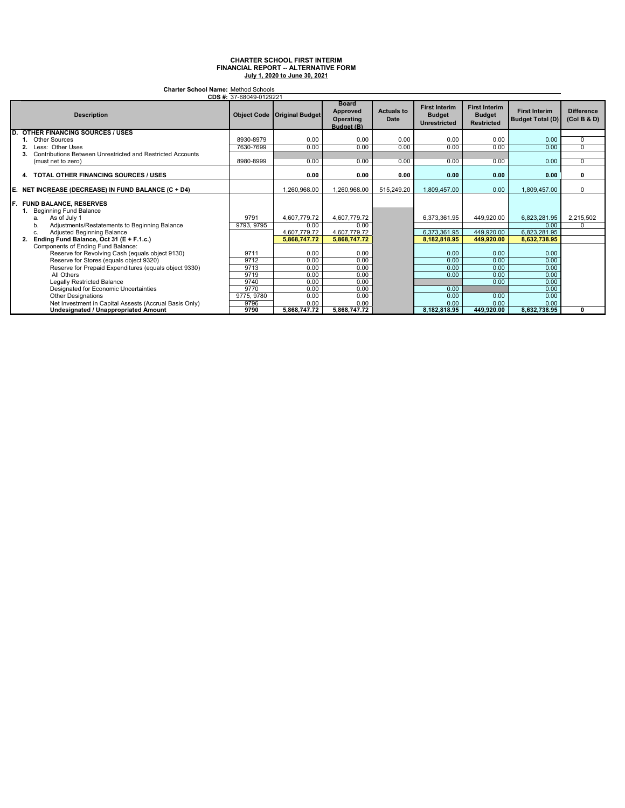| <b>Charter School Name: Method Schools</b><br>CDS #: 37-68049-0129221                                                                                                                                                           |                    |                                                      |                                                      |                                  |                                                              |                                                            |                                                      |                                  |
|---------------------------------------------------------------------------------------------------------------------------------------------------------------------------------------------------------------------------------|--------------------|------------------------------------------------------|------------------------------------------------------|----------------------------------|--------------------------------------------------------------|------------------------------------------------------------|------------------------------------------------------|----------------------------------|
| <b>Description</b>                                                                                                                                                                                                              |                    | <b>Object Code   Original Budget</b>                 | <b>Board</b><br>Approved<br>Operating<br>Budget (B)  | <b>Actuals to</b><br><b>Date</b> | <b>First Interim</b><br><b>Budget</b><br><b>Unrestricted</b> | <b>First Interim</b><br><b>Budget</b><br><b>Restricted</b> | <b>First Interim</b><br><b>Budget Total (D)</b>      | <b>Difference</b><br>(Col B & D) |
| D.<br><b>OTHER FINANCING SOURCES / USES</b>                                                                                                                                                                                     |                    |                                                      |                                                      |                                  |                                                              |                                                            |                                                      |                                  |
| <b>Other Sources</b>                                                                                                                                                                                                            | 8930-8979          | 0.00                                                 | 0.00                                                 | 0.00                             | 0.00                                                         | 0.00                                                       | 0.00                                                 | 0                                |
| Less: Other Uses<br>2                                                                                                                                                                                                           | 7630-7699          | 0.00                                                 | 0.00                                                 | 0.00                             | 0.00                                                         | 0.00                                                       | 0.00                                                 | $\Omega$                         |
| Contributions Between Unrestricted and Restricted Accounts<br>3.                                                                                                                                                                |                    |                                                      |                                                      |                                  |                                                              |                                                            |                                                      |                                  |
| (must net to zero)                                                                                                                                                                                                              | 8980-8999          | 0.00                                                 | 0.00                                                 | 0.00                             | 0.00                                                         | 0.00                                                       | 0.00                                                 | $\Omega$                         |
| <b>TOTAL OTHER FINANCING SOURCES / USES</b><br>4.                                                                                                                                                                               |                    | 0.00                                                 | 0.00                                                 | 0.00                             | 0.00                                                         | 0.00                                                       | 0.00                                                 | 0                                |
| E. NET INCREASE (DECREASE) IN FUND BALANCE (C + D4)                                                                                                                                                                             |                    | 1.260.968.00                                         | 1.260.968.00                                         | 515.249.20                       | .809.457.00                                                  | 0.00                                                       | 1,809,457.00                                         | $\Omega$                         |
| <b>F. FUND BALANCE, RESERVES</b><br>1. Beginning Fund Balance<br>As of July 1<br>a.<br>Adjustments/Restatements to Beginning Balance<br>b<br>Adjusted Beginning Balance<br>c.<br>Ending Fund Balance, Oct 31 (E + F.1.c.)<br>2. | 9791<br>9793, 9795 | 4,607,779.72<br>0.00<br>4.607.779.72<br>5.868.747.72 | 4.607.779.72<br>0.00<br>4.607.779.72<br>5.868.747.72 |                                  | 6.373.361.95<br>6.373.361.95<br>8.182.818.95                 | 449.920.00<br>449,920.00<br>449.920.00                     | 6.823.281.95<br>0.00<br>6,823,281.95<br>8.632.738.95 | 2,215,502<br>$\Omega$            |
| Components of Ending Fund Balance:                                                                                                                                                                                              |                    |                                                      |                                                      |                                  |                                                              |                                                            |                                                      |                                  |
| Reserve for Revolving Cash (equals object 9130)                                                                                                                                                                                 | 9711               | 0.00                                                 | 0.00                                                 |                                  | 0.00                                                         | 0.00                                                       | 0.00                                                 |                                  |
| Reserve for Stores (equals object 9320)                                                                                                                                                                                         | 9712               | 0.00                                                 | 0.00                                                 |                                  | 0.00                                                         | 0.00                                                       | 0.00                                                 |                                  |
| Reserve for Prepaid Expenditures (equals object 9330)                                                                                                                                                                           | 9713               | 0.00                                                 | 0.00                                                 |                                  | 0.00                                                         | 0.00                                                       | 0.00                                                 |                                  |
| All Others                                                                                                                                                                                                                      | 9719               | 0.00                                                 | 0.00                                                 |                                  | 0.00                                                         | 0.00                                                       | 0.00                                                 |                                  |
| <b>Legally Restricted Balance</b>                                                                                                                                                                                               | 9740               | 0.00                                                 | 0.00                                                 |                                  |                                                              | 0.00                                                       | 0.00                                                 |                                  |
| Designated for Economic Uncertainties                                                                                                                                                                                           | 9770               | 0.00                                                 | 0.00                                                 |                                  | 0.00                                                         |                                                            | 0.00                                                 |                                  |
| <b>Other Designations</b>                                                                                                                                                                                                       | 9775, 9780         | 0.00                                                 | 0.00                                                 |                                  | 0.00                                                         | 0.00                                                       | 0.00                                                 |                                  |
| Net Investment in Capital Assests (Accrual Basis Only)                                                                                                                                                                          | 9796               | 0.00                                                 | 0.00                                                 |                                  | 0.00                                                         | 0.00                                                       | 0.00                                                 |                                  |
| <b>Undesignated / Unappropriated Amount</b>                                                                                                                                                                                     | 9790               | 5.868.747.72                                         | 5.868.747.72                                         |                                  | 8.182.818.95                                                 | 449.920.00                                                 | 8.632.738.95                                         | 0                                |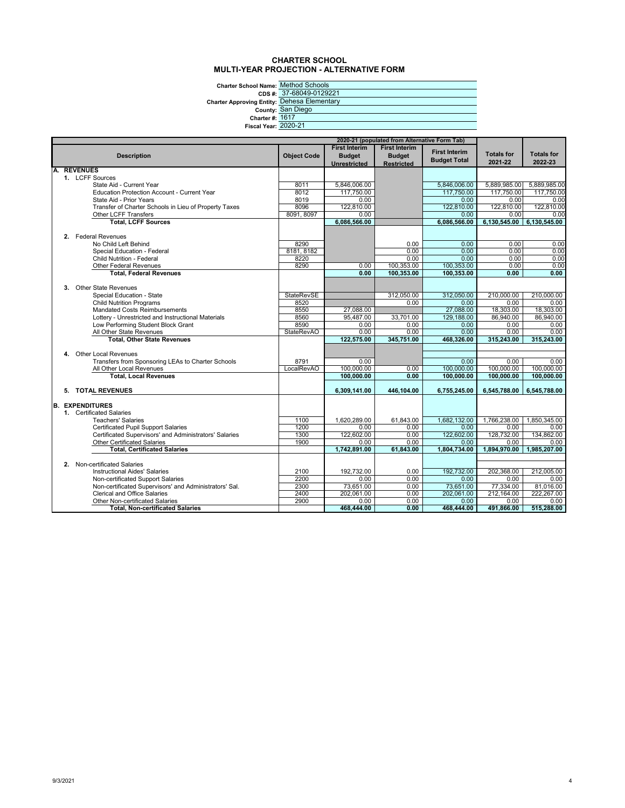#### **CHARTER SCHOOL MULTI-YEAR PROJECTION - ALTERNATIVE FORM**

**Charter School Name:** Method Schools

**CDS #:**

**Charter Approving Entity: County:**

|                             | hool Name: Method Schools:     |
|-----------------------------|--------------------------------|
|                             | CDS #: 37-68049-0129221        |
|                             | ving Entity: Dehesa Elementary |
|                             | County: San Diego              |
| <b>Charter #: 1617</b>      |                                |
| <b>Fiscal Year: 2020-21</b> |                                |
|                             |                                |

| 2020-21 (populated from Alternative Form Tab)          |                    |                      |                      |                      |                    |                    |
|--------------------------------------------------------|--------------------|----------------------|----------------------|----------------------|--------------------|--------------------|
|                                                        |                    | <b>First Interim</b> | <b>First Interim</b> |                      |                    |                    |
| <b>Description</b>                                     | <b>Object Code</b> | <b>Budget</b>        | <b>Budget</b>        | <b>First Interim</b> | <b>Totals for</b>  | <b>Totals for</b>  |
|                                                        |                    | <b>Unrestricted</b>  | <b>Restricted</b>    | <b>Budget Total</b>  | 2021-22            | 2022-23            |
| <b>REVENUES</b>                                        |                    |                      |                      |                      |                    |                    |
| 1. LCFF Sources                                        |                    |                      |                      |                      |                    |                    |
| State Aid - Current Year                               | 8011               | 5.846.006.00         |                      | 5.846.006.00         | 5,889,985.00       | 5,889,985.00       |
| Education Protection Account - Current Year            | 8012               | 117,750.00           |                      | 117,750.00           | 117,750.00         | 117,750.00         |
| State Aid - Prior Years                                | 8019               | 0.00                 |                      | 0.00                 | 0.00               | 0.00               |
| Transfer of Charter Schools in Lieu of Property Taxes  | 8096               | 122,810.00           |                      | 122,810.00           | 122,810.00         | 122,810.00         |
| Other LCFF Transfers                                   | 8091, 8097         | 0.00                 |                      | 0.00                 | 0.00               | 0.00               |
| <b>Total, LCFF Sources</b>                             |                    | 6,086,566.00         |                      | 6,086,566.00         | 6,130,545.00       | 6,130,545.00       |
|                                                        |                    |                      |                      |                      |                    |                    |
| 2. Federal Revenues                                    |                    |                      |                      |                      |                    |                    |
| No Child Left Behind                                   | 8290               |                      | 0.00                 | 0.00                 | 0.00               | 0.00               |
| Special Education - Federal                            | 8181, 8182         |                      | 0.00                 | 0.00                 | 0.00               | 0.00               |
| <b>Child Nutrition - Federal</b>                       | 8220               |                      | 0.00                 | 0.00                 | 0.00               | 0.00               |
| <b>Other Federal Revenues</b>                          | 8290               | 0.00                 | 100,353.00           | 100,353.00           | 0.00               | 0.00               |
| <b>Total, Federal Revenues</b>                         |                    | 0.00                 | 100,353.00           | 100.353.00           | 0.00               | 0.00               |
| Other State Revenues<br>3.                             |                    |                      |                      |                      |                    |                    |
| Special Education - State                              | <b>StateRevSE</b>  |                      | 312,050.00           | 312.050.00           | 210,000.00         | 210.000.00         |
| <b>Child Nutrition Programs</b>                        | 8520               |                      | 0.00                 | 0.00                 | 0.00               | 0.00               |
| <b>Mandated Costs Reimbursements</b>                   | 8550               | 27,088.00            |                      | 27,088.00            | 18,303.00          | 18,303.00          |
| Lottery - Unrestricted and Instructional Materials     | 8560               | 95,487.00            | 33,701.00            | 129.188.00           | 86.940.00          | 86.940.00          |
| Low Performing Student Block Grant                     | 8590               | 0.00                 | 0.00                 | 0.00                 | 0.00               | 0.00               |
| All Other State Revenues                               | <b>StateRevAO</b>  | 0.00                 | 0.00                 | 0.00                 | 0.00               | 0.00               |
| <b>Total. Other State Revenues</b>                     |                    | 122,575.00           | 345,751.00           | 468,326.00           | 315,243.00         | 315.243.00         |
|                                                        |                    |                      |                      |                      |                    |                    |
| Other Local Revenues<br>4.                             |                    |                      |                      |                      |                    |                    |
| Transfers from Sponsoring LEAs to Charter Schools      | 8791               | 0.00                 |                      | 0.00                 | 0.00               | 0.00               |
| All Other Local Revenues                               | <b>LocalRevAO</b>  | 100,000.00           | 0.00                 | 100.000.00           | 100,000.00         | 100.000.00         |
| <b>Total, Local Revenues</b>                           |                    | 100.000.00           | 0.00                 | 100.000.00           | 100.000.00         | 100.000.00         |
|                                                        |                    |                      |                      |                      |                    |                    |
| 5. TOTAL REVENUES                                      |                    | 6,309,141.00         | 446,104.00           | 6,755,245.00         | 6,545,788.00       | 6,545,788.00       |
|                                                        |                    |                      |                      |                      |                    |                    |
| <b>B. EXPENDITURES</b>                                 |                    |                      |                      |                      |                    |                    |
| 1. Certificated Salaries                               |                    |                      |                      |                      |                    |                    |
| <b>Teachers' Salaries</b>                              | 1100               | 1,620,289.00         | 61,843.00            | 1.682.132.00         | 1,766,238.00       | 1,850,345.00       |
| <b>Certificated Pupil Support Salaries</b>             | 1200               | 0.00                 | 0.00                 | 0.00                 | 0.00               | 0.00               |
| Certificated Supervisors' and Administrators' Salaries | 1300<br>1900       | 122,602.00<br>0.00   | 0.00<br>0.00         | 122.602.00<br>0.00   | 128,732.00<br>0.00 | 134,862.00<br>0.00 |
| Other Certificated Salaries                            |                    | 1,742,891.00         | 61.843.00            | 1.804.734.00         | 1.894.970.00       | 1.985.207.00       |
| <b>Total, Certificated Salaries</b>                    |                    |                      |                      |                      |                    |                    |
| 2. Non-certificated Salaries                           |                    |                      |                      |                      |                    |                    |
| <b>Instructional Aides' Salaries</b>                   | 2100               | 192,732.00           | 0.00                 | 192.732.00           | 202,368.00         | 212.005.00         |
| Non-certificated Support Salaries                      | 2200               | 0.00                 | 0.00                 | 0.00                 | 0.00               | 0.00               |
| Non-certificated Supervisors' and Administrators' Sal. | 2300               | 73,651.00            | 0.00                 | 73,651.00            | 77,334.00          | 81,016.00          |
| <b>Clerical and Office Salaries</b>                    | 2400               | 202,061.00           | 0.00                 | 202,061.00           | 212,164.00         | 222.267.00         |
| <b>Other Non-certificated Salaries</b>                 | 2900               | 0.00                 | 0.00                 | 0.00                 | 0.00               | 0.00               |
| <b>Total. Non-certificated Salaries</b>                |                    | 468.444.00           | 0.00                 | 468.444.00           | 491.866.00         | 515,288.00         |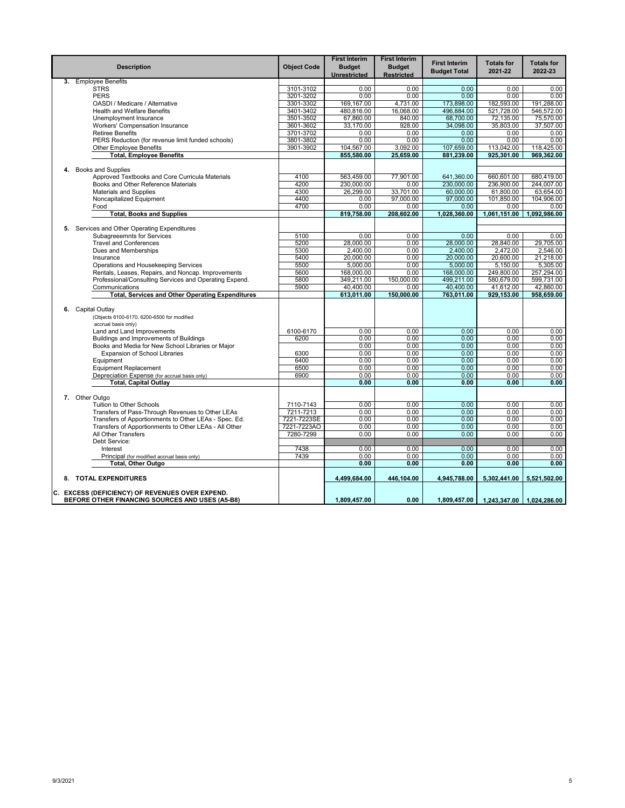|    | <b>Description</b>                                      | <b>Object Code</b> | <b>First Interim</b><br><b>Budget</b><br>Unrestricted | <b>First Interim</b><br><b>Budget</b><br><b>Restricted</b> | <b>First Interim</b><br><b>Budget Total</b> | <b>Totals for</b><br>2021-22 | <b>Totals for</b><br>2022-23 |
|----|---------------------------------------------------------|--------------------|-------------------------------------------------------|------------------------------------------------------------|---------------------------------------------|------------------------------|------------------------------|
| 3. | <b>Employee Benefits</b>                                |                    |                                                       |                                                            |                                             |                              |                              |
|    | <b>STRS</b>                                             | 3101-3102          | 0.00                                                  | 0.00                                                       | 0.00                                        | 0.00                         | 0.00                         |
|    | <b>PERS</b>                                             | 3201-3202          | 0.00                                                  | 0.00                                                       | 0.00                                        | 0.00                         | 0.00                         |
|    | OASDI / Medicare / Alternative                          | 3301-3302          | 169, 167.00                                           | 4,731.00                                                   | 173,898.00                                  | 182,593.00                   | 191,288.00                   |
|    | <b>Health and Welfare Benefits</b>                      | 3401-3402          | 480.816.00                                            | 16.068.00                                                  | 496.884.00                                  | 521,728.00                   | 546.572.00                   |
|    | Unemployment Insurance                                  | 3501-3502          | 67,860.00                                             | 840.00                                                     | 68,700.00                                   | 72,135.00                    | 75,570.00                    |
|    | Workers' Compensation Insurance                         | 3601-3602          | 33,170.00                                             | 928.00                                                     | 34,098.00                                   | 35,803.00                    | 37,507.00                    |
|    | <b>Retiree Benefits</b>                                 | 3701-3702          | 0.00                                                  | 0.00                                                       | 0.00                                        | 0.00                         | 0.00                         |
|    | PERS Reduction (for revenue limit funded schools)       | 3801-3802          | 0.00                                                  | 0.00                                                       | 0.00                                        | 0.00                         | 0.00                         |
|    | <b>Other Employee Benefits</b>                          | 3901-3902          | 104,567.00<br>855,580.00                              | 3,092.00<br>25,659.00                                      | 107,659.00<br>881,239.00                    | 113,042.00<br>925,301.00     | 118,425.00<br>969,362.00     |
|    | <b>Total, Employee Benefits</b>                         |                    |                                                       |                                                            |                                             |                              |                              |
|    | 4. Books and Supplies                                   |                    |                                                       |                                                            |                                             |                              |                              |
|    | Approved Textbooks and Core Curricula Materials         | 4100               | 563,459.00                                            | 77,901.00                                                  | 641,360.00                                  | 660.601.00                   | 680,419.00                   |
|    | Books and Other Reference Materials                     | 4200               | 230,000.00                                            | 0.00                                                       | 230,000.00                                  | 236,900.00                   | 244,007.00                   |
|    | <b>Materials and Supplies</b>                           | 4300               | 26,299.00                                             | 33,701.00                                                  | 60,000.00                                   | 61,800.00                    | 63,654.00                    |
|    | Noncapitalized Equipment                                | 4400               | 0.00                                                  | 97.000.00                                                  | 97,000.00                                   | 101,850.00                   | 104.906.00                   |
|    | Food                                                    | 4700               | 0.00                                                  | 0.00                                                       | 0.00                                        | 0.00                         | 0.00                         |
|    | <b>Total, Books and Supplies</b>                        |                    | 819,758.00                                            | 208,602.00                                                 | 1,028,360.00                                | 1,061,151.00                 | 1,092,986.00                 |
|    |                                                         |                    |                                                       |                                                            |                                             |                              |                              |
|    | 5. Services and Other Operating Expenditures            |                    |                                                       |                                                            |                                             |                              |                              |
|    | <b>Subagreeemnts for Services</b>                       | 5100               | 0.00                                                  | 0.00                                                       | 0.00                                        | 0.00                         | 0.00                         |
|    | <b>Travel and Conferences</b>                           | 5200               | 28,000.00                                             | 0.00                                                       | 28,000.00                                   | 28,840.00                    | 29,705.00                    |
|    | Dues and Memberships                                    | 5300               | 2.400.00                                              | 0.00                                                       | 2.400.00                                    | 2.472.00                     | 2.546.00                     |
|    | Insurance                                               | 5400               | 20,000.00                                             | 0.00                                                       | 20,000.00                                   | 20,600.00                    | 21,218.00                    |
|    | Operations and Housekeeping Services                    | 5500               | 5,000.00                                              | 0.00                                                       | 5,000.00                                    | 5,150.00                     | 5,305.00                     |
|    | Rentals, Leases, Repairs, and Noncap. Improvements      | 5600               | 168,000.00                                            | 0.00                                                       | 168,000.00                                  | 249,800.00                   | 257,294.00                   |
|    | Professional/Consulting Services and Operating Expend.  | 5800               | 349,211.00                                            | 150.000.00                                                 | 499.211.00                                  | 580,679.00                   | 599.731.00                   |
|    | Communications                                          | 5900               | 40,400.00                                             | 0.00                                                       | 40,400.00                                   | 41,612.00                    | 42,860.00                    |
|    | <b>Total, Services and Other Operating Expenditures</b> |                    | 613,011.00                                            | 150,000.00                                                 | 763,011.00                                  | 929,153.00                   | 958,659.00                   |
|    |                                                         |                    |                                                       |                                                            |                                             |                              |                              |
| 6. | Capital Outlay                                          |                    |                                                       |                                                            |                                             |                              |                              |
|    | (Objects 6100-6170, 6200-6500 for modified              |                    |                                                       |                                                            |                                             |                              |                              |
|    | accrual basis only)                                     |                    |                                                       |                                                            |                                             |                              |                              |
|    | Land and Land Improvements                              | 6100-6170          | 0.00                                                  | 0.00                                                       | 0.00                                        | 0.00                         | 0.00                         |
|    | Buildings and Improvements of Buildings                 | 6200               | 0.00                                                  | 0.00                                                       | 0.00                                        | 0.00                         | 0.00                         |
|    | Books and Media for New School Libraries or Major       |                    | 0.00                                                  | 0.00                                                       | 0.00                                        | 0.00                         | 0.00                         |
|    | <b>Expansion of School Libraries</b>                    | 6300               | 0.00                                                  | 0.00                                                       | 0.00                                        | 0.00                         | 0.00                         |
|    | Equipment                                               | 6400               | 0.00                                                  | 0.00                                                       | 0.00                                        | 0.00                         | 0.00                         |
|    | <b>Equipment Replacement</b>                            | 6500               | 0.00                                                  | 0.00                                                       | 0.00                                        | 0.00                         | 0.00                         |
|    | Depreciation Expense (for accrual basis only)           | 6900               | 0.00                                                  | 0.00                                                       | 0.00                                        | 0.00                         | 0.00                         |
|    | <b>Total, Capital Outlay</b>                            |                    | 0.00                                                  | 0.00                                                       | 0.00                                        | 0.00                         | 0.00                         |
|    |                                                         |                    |                                                       |                                                            |                                             |                              |                              |
|    | 7. Other Outgo                                          |                    |                                                       |                                                            |                                             |                              |                              |
|    | <b>Tuition to Other Schools</b>                         | 7110-7143          | 0.00                                                  | 0.00                                                       | 0.00                                        | 0.00                         | 0.00                         |
|    | Transfers of Pass-Through Revenues to Other LEAs        | 7211-7213          | 0.00                                                  | 0.00                                                       | 0.00                                        | 0.00                         | 0.00                         |
|    | Transfers of Apportionments to Other LEAs - Spec. Ed.   | 7221-7223SE        | 0.00                                                  | 0.00                                                       | 0.00                                        | 0.00                         | 0.00                         |
|    | Transfers of Apportionments to Other LEAs - All Other   | 7221-7223AO        | 0.00                                                  | 0.00                                                       | 0.00                                        | 0.00                         | 0.00                         |
|    | All Other Transfers                                     | 7280-7299          | 0.00                                                  | 0.00                                                       | 0.00                                        | 0.00                         | 0.00                         |
|    | Debt Service:                                           |                    |                                                       |                                                            |                                             |                              |                              |
|    | Interest                                                | 7438               | 0.00                                                  | 0.00                                                       | 0.00                                        | 0.00                         | 0.00                         |
|    | Principal (for modified accrual basis only)             | 7439               | 0.00                                                  | 0.00                                                       | 0.00                                        | 0.00                         | 0.00                         |
|    | Total, Other Outgo                                      |                    | 0.00                                                  | 0.00                                                       | 0.00                                        | 0.00                         | 0.00                         |
|    |                                                         |                    |                                                       |                                                            |                                             |                              |                              |
|    | 8. TOTAL EXPENDITURES                                   |                    | 4.499.684.00                                          | 446,104.00                                                 | 4.945.788.00                                | 5,302,441.00                 | 5,521,502.00                 |
|    | C. EXCESS (DEFICIENCY) OF REVENUES OVER EXPEND.         |                    |                                                       |                                                            |                                             |                              |                              |
|    | BEFORE OTHER FINANCING SOURCES AND USES (A5-B8)         |                    | 1,809,457.00                                          | 0.00                                                       | 1,809,457.00                                | 1,243,347.00   1,024,286.00  |                              |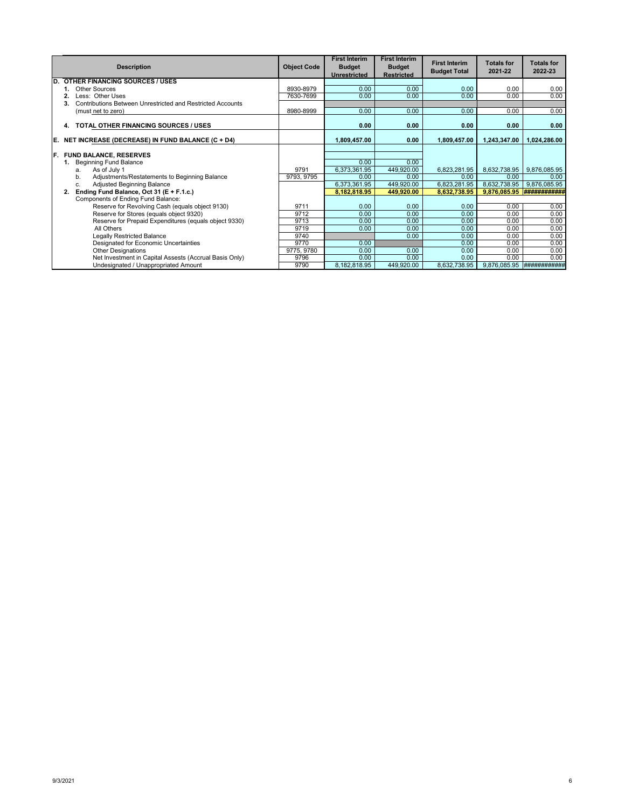|    | <b>Description</b>                                               | <b>Object Code</b> | <b>First Interim</b><br><b>Budget</b><br><b>Unrestricted</b> | <b>First Interim</b><br><b>Budget</b><br><b>Restricted</b> | <b>First Interim</b><br><b>Budget Total</b> | <b>Totals for</b><br>2021-22 | <b>Totals for</b><br>2022-23 |
|----|------------------------------------------------------------------|--------------------|--------------------------------------------------------------|------------------------------------------------------------|---------------------------------------------|------------------------------|------------------------------|
| D. | <b>OTHER FINANCING SOURCES / USES</b>                            |                    |                                                              |                                                            |                                             |                              |                              |
|    | Other Sources                                                    | 8930-8979          | 0.00                                                         | 0.00                                                       | 0.00                                        | 0.00                         | 0.00                         |
|    | Less: Other Uses                                                 | 7630-7699          | 0.00                                                         | 0.00                                                       | 0.00                                        | 0.00                         | 0.00                         |
|    | Contributions Between Unrestricted and Restricted Accounts<br>3. |                    |                                                              |                                                            |                                             |                              |                              |
|    | (must net to zero)                                               | 8980-8999          | 0.00                                                         | 0.00                                                       | 0.00                                        | 0.00                         | 0.00                         |
|    | TOTAL OTHER FINANCING SOURCES / USES<br>4.                       |                    | 0.00                                                         | 0.00                                                       | 0.00                                        | 0.00                         | 0.00                         |
| E. | NET INCREASE (DECREASE) IN FUND BALANCE (C + D4)                 |                    | 1,809,457.00                                                 | 0.00                                                       | 1,809,457.00                                | 1,243,347.00                 | 1,024,286.00                 |
|    |                                                                  |                    |                                                              |                                                            |                                             |                              |                              |
| F. | <b>FUND BALANCE, RESERVES</b>                                    |                    |                                                              |                                                            |                                             |                              |                              |
|    | <b>Beginning Fund Balance</b>                                    |                    | 0.00                                                         | 0.00                                                       |                                             |                              |                              |
|    | As of July 1<br>a.                                               | 9791               | 6,373,361.95                                                 | 449,920.00                                                 | 6,823,281.95                                | 8,632,738.95                 | 9,876,085.95                 |
|    | Adjustments/Restatements to Beginning Balance<br>b.              | 9793, 9795         | 0.00                                                         | 0.00                                                       | 0.00                                        | 0.00                         | 0.00                         |
|    | <b>Adjusted Beginning Balance</b><br>c.                          |                    | 6,373,361.95                                                 | 449,920.00                                                 | 6,823,281.95                                | 8,632,738.95                 | 9,876,085.95                 |
|    | Ending Fund Balance, Oct 31 (E + F.1.c.)<br>2.                   |                    | 8,182,818.95                                                 | 449.920.00                                                 | 8.632.738.95                                | 9,876,085.95                 |                              |
|    | Components of Ending Fund Balance:                               |                    |                                                              |                                                            |                                             |                              |                              |
|    | Reserve for Revolving Cash (equals object 9130)                  | 9711               | 0.00                                                         | 0.00                                                       | 0.00                                        | 0.00                         | 0.00                         |
|    | Reserve for Stores (equals object 9320)                          | 9712               | 0.00                                                         | 0.00                                                       | 0.00                                        | 0.00                         | 0.00                         |
|    | Reserve for Prepaid Expenditures (equals object 9330)            | 9713               | 0.00                                                         | 0.00                                                       | 0.00                                        | 0.00                         | 0.00                         |
|    | All Others                                                       | 9719               | 0.00                                                         | 0.00                                                       | 0.00                                        | 0.00                         | 0.00                         |
|    | <b>Legally Restricted Balance</b>                                | 9740               |                                                              | 0.00                                                       | 0.00                                        | 0.00                         | 0.00                         |
|    | Designated for Economic Uncertainties                            | 9770               | 0.00                                                         |                                                            | 0.00                                        | 0.00                         | 0.00                         |
|    | <b>Other Designations</b>                                        | 9775, 9780         | 0.00                                                         | 0.00                                                       | 0.00                                        | 0.00                         | 0.00                         |
|    | Net Investment in Capital Assests (Accrual Basis Only)           | 9796               | 0.00                                                         | 0.00                                                       | 0.00                                        | 0.00                         | 0.00                         |
|    | Undesignated / Unappropriated Amount                             | 9790               | 8,182,818.95                                                 | 449,920.00                                                 | 8,632,738.95                                |                              | 9,876,085.95 #############   |